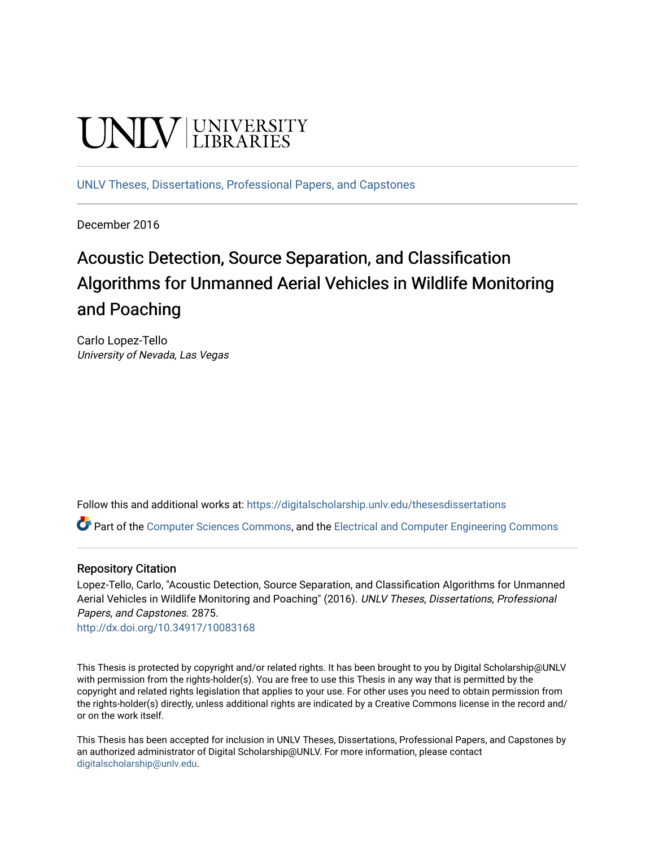# **UNIVERSITY**

[UNLV Theses, Dissertations, Professional Papers, and Capstones](https://digitalscholarship.unlv.edu/thesesdissertations)

December 2016

## Acoustic Detection, Source Separation, and Classification Algorithms for Unmanned Aerial Vehicles in Wildlife Monitoring and Poaching

Carlo Lopez-Tello University of Nevada, Las Vegas

Follow this and additional works at: [https://digitalscholarship.unlv.edu/thesesdissertations](https://digitalscholarship.unlv.edu/thesesdissertations?utm_source=digitalscholarship.unlv.edu%2Fthesesdissertations%2F2875&utm_medium=PDF&utm_campaign=PDFCoverPages)

Part of the [Computer Sciences Commons](http://network.bepress.com/hgg/discipline/142?utm_source=digitalscholarship.unlv.edu%2Fthesesdissertations%2F2875&utm_medium=PDF&utm_campaign=PDFCoverPages), and the [Electrical and Computer Engineering Commons](http://network.bepress.com/hgg/discipline/266?utm_source=digitalscholarship.unlv.edu%2Fthesesdissertations%2F2875&utm_medium=PDF&utm_campaign=PDFCoverPages)

#### Repository Citation

Lopez-Tello, Carlo, "Acoustic Detection, Source Separation, and Classification Algorithms for Unmanned Aerial Vehicles in Wildlife Monitoring and Poaching" (2016). UNLV Theses, Dissertations, Professional Papers, and Capstones. 2875.

<http://dx.doi.org/10.34917/10083168>

This Thesis is protected by copyright and/or related rights. It has been brought to you by Digital Scholarship@UNLV with permission from the rights-holder(s). You are free to use this Thesis in any way that is permitted by the copyright and related rights legislation that applies to your use. For other uses you need to obtain permission from the rights-holder(s) directly, unless additional rights are indicated by a Creative Commons license in the record and/ or on the work itself.

This Thesis has been accepted for inclusion in UNLV Theses, Dissertations, Professional Papers, and Capstones by an authorized administrator of Digital Scholarship@UNLV. For more information, please contact [digitalscholarship@unlv.edu](mailto:digitalscholarship@unlv.edu).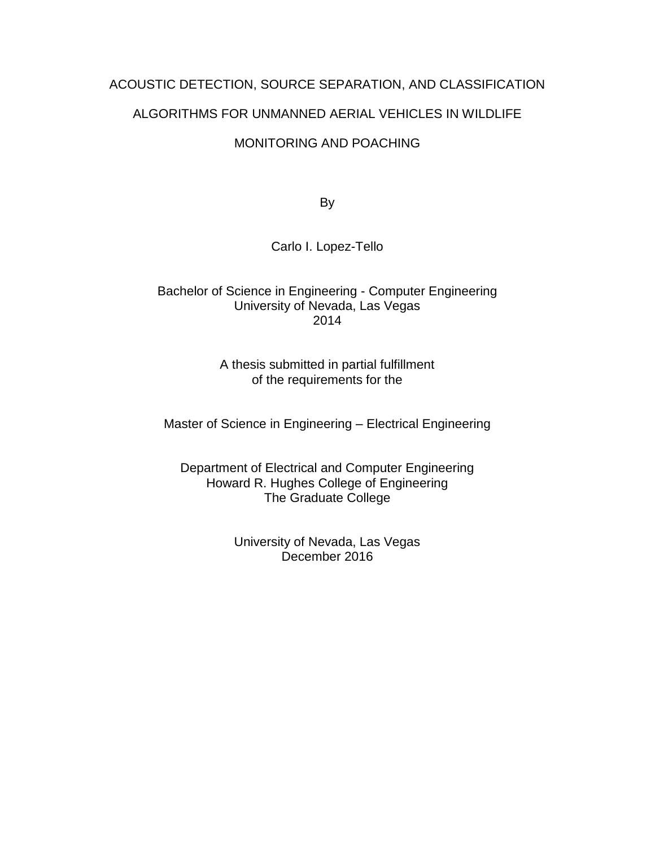### ACOUSTIC DETECTION, SOURCE SEPARATION, AND CLASSIFICATION

#### ALGORITHMS FOR UNMANNED AERIAL VEHICLES IN WILDLIFE

#### MONITORING AND POACHING

By

#### Carlo I. Lopez-Tello

#### Bachelor of Science in Engineering - Computer Engineering University of Nevada, Las Vegas 2014

#### A thesis submitted in partial fulfillment of the requirements for the

Master of Science in Engineering – Electrical Engineering

Department of Electrical and Computer Engineering Howard R. Hughes College of Engineering The Graduate College

> University of Nevada, Las Vegas December 2016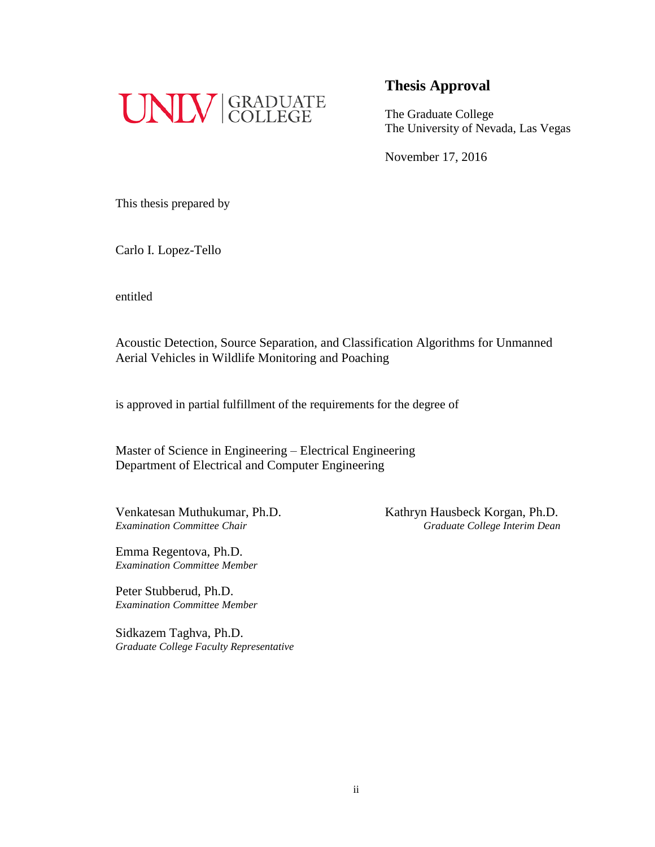

The Graduate College The University of Nevada, Las Vegas

November 17, 2016

This thesis prepared by

Carlo I. Lopez-Tello

entitled

Acoustic Detection, Source Separation, and Classification Algorithms for Unmanned Aerial Vehicles in Wildlife Monitoring and Poaching

is approved in partial fulfillment of the requirements for the degree of

Master of Science in Engineering – Electrical Engineering Department of Electrical and Computer Engineering

Venkatesan Muthukumar, Ph.D. Kathryn Hausbeck Korgan, Ph.D.

Emma Regentova, Ph.D. *Examination Committee Member*

Peter Stubberud, Ph.D. *Examination Committee Member*

Sidkazem Taghva, Ph.D. *Graduate College Faculty Representative*

*Examination Committee Chair Graduate College Interim Dean*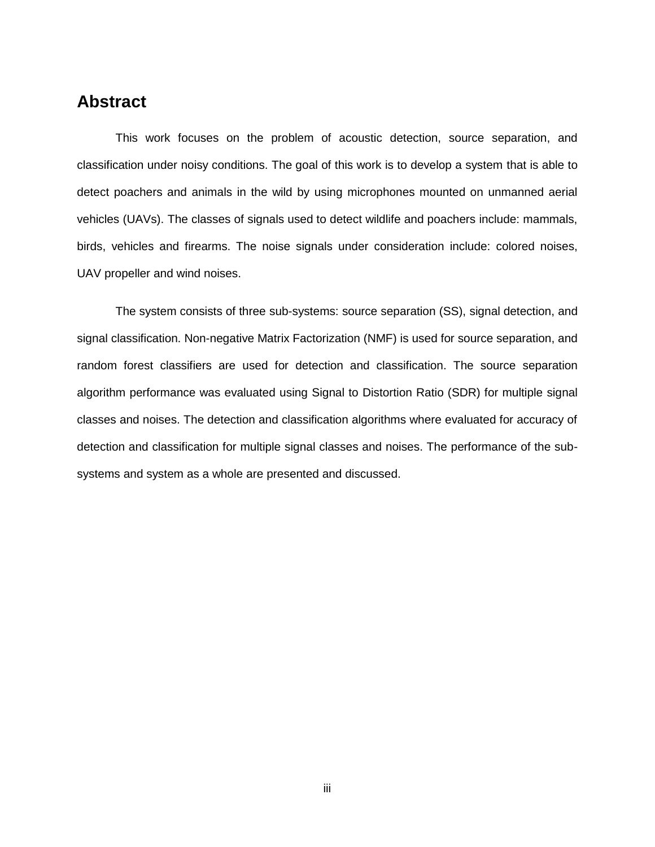## <span id="page-3-0"></span>**Abstract**

This work focuses on the problem of acoustic detection, source separation, and classification under noisy conditions. The goal of this work is to develop a system that is able to detect poachers and animals in the wild by using microphones mounted on unmanned aerial vehicles (UAVs). The classes of signals used to detect wildlife and poachers include: mammals, birds, vehicles and firearms. The noise signals under consideration include: colored noises, UAV propeller and wind noises.

The system consists of three sub-systems: source separation (SS), signal detection, and signal classification. Non-negative Matrix Factorization (NMF) is used for source separation, and random forest classifiers are used for detection and classification. The source separation algorithm performance was evaluated using Signal to Distortion Ratio (SDR) for multiple signal classes and noises. The detection and classification algorithms where evaluated for accuracy of detection and classification for multiple signal classes and noises. The performance of the subsystems and system as a whole are presented and discussed.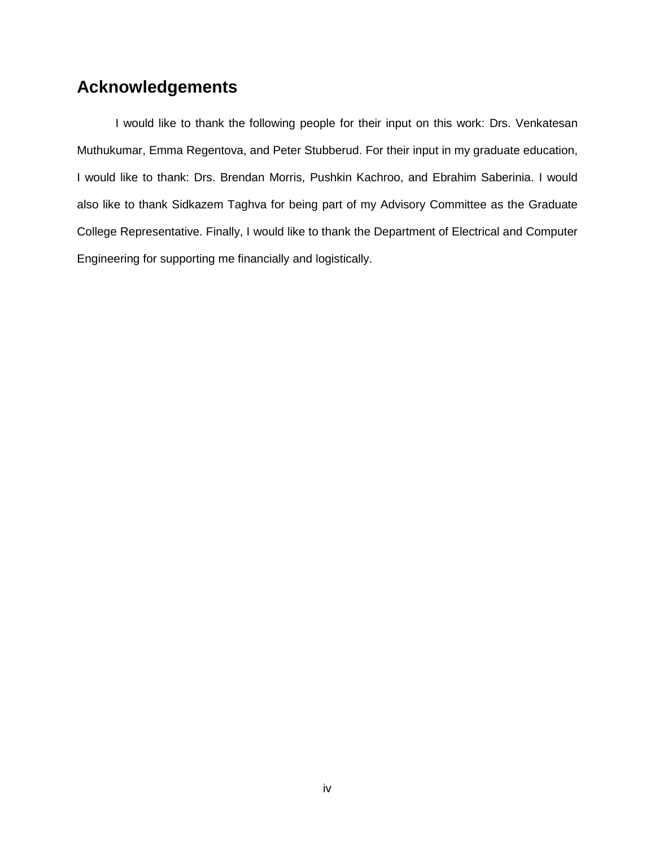## <span id="page-4-0"></span>**Acknowledgements**

I would like to thank the following people for their input on this work: Drs. Venkatesan Muthukumar, Emma Regentova, and Peter Stubberud. For their input in my graduate education, I would like to thank: Drs. Brendan Morris, Pushkin Kachroo, and Ebrahim Saberinia. I would also like to thank Sidkazem Taghva for being part of my Advisory Committee as the Graduate College Representative. Finally, I would like to thank the Department of Electrical and Computer Engineering for supporting me financially and logistically.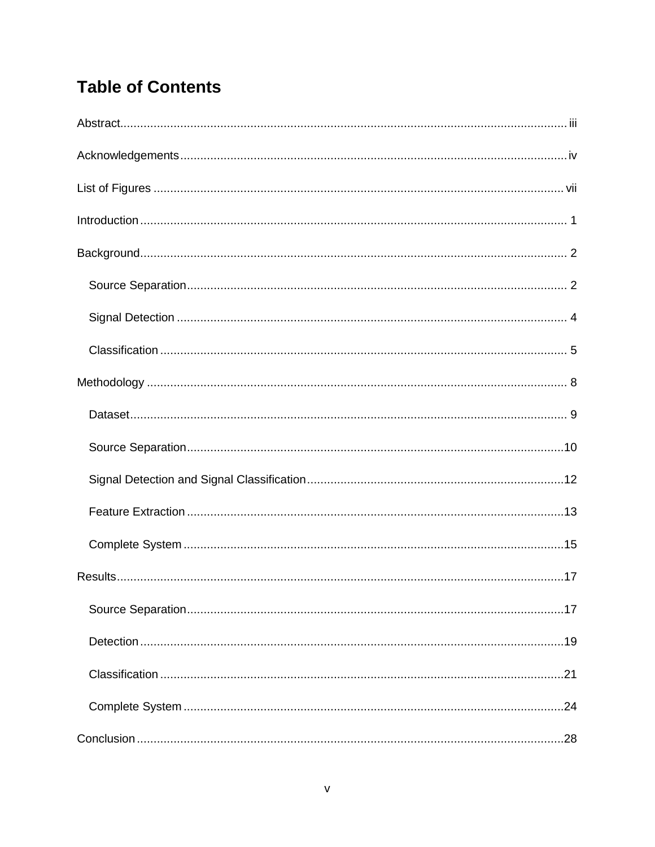## **Table of Contents**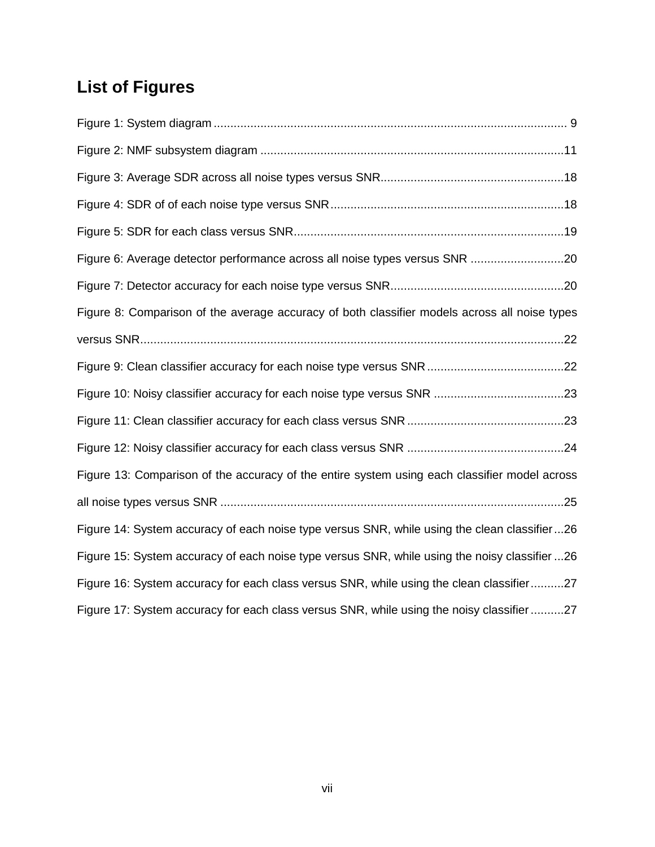## <span id="page-7-0"></span>**List of Figures**

| Figure 6: Average detector performance across all noise types versus SNR 20                   |  |
|-----------------------------------------------------------------------------------------------|--|
|                                                                                               |  |
| Figure 8: Comparison of the average accuracy of both classifier models across all noise types |  |
|                                                                                               |  |
|                                                                                               |  |
|                                                                                               |  |
|                                                                                               |  |
|                                                                                               |  |
| Figure 13: Comparison of the accuracy of the entire system using each classifier model across |  |
|                                                                                               |  |
| Figure 14: System accuracy of each noise type versus SNR, while using the clean classifier26  |  |
| Figure 15: System accuracy of each noise type versus SNR, while using the noisy classifier 26 |  |
| Figure 16: System accuracy for each class versus SNR, while using the clean classifier27      |  |
| Figure 17: System accuracy for each class versus SNR, while using the noisy classifier 27     |  |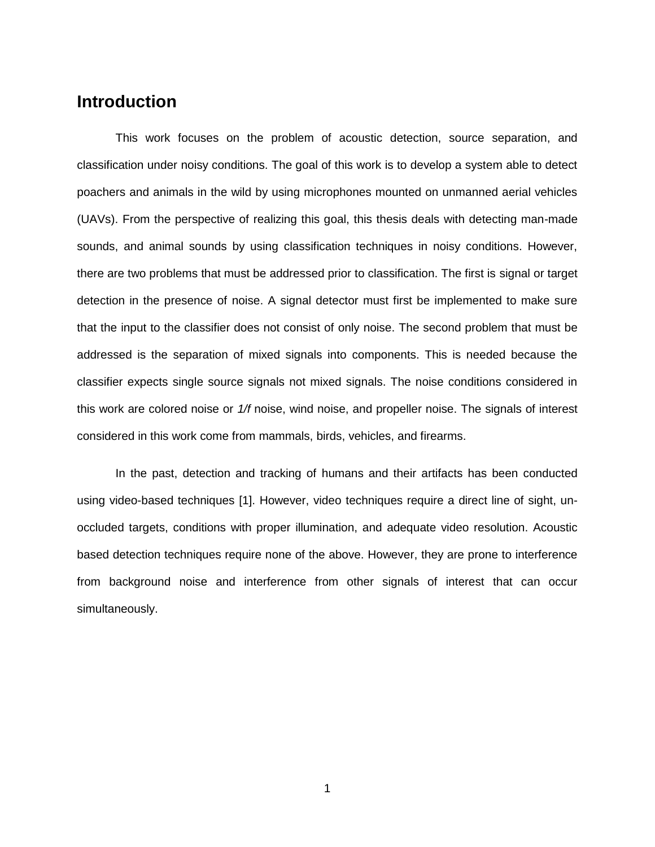## <span id="page-8-0"></span>**Introduction**

This work focuses on the problem of acoustic detection, source separation, and classification under noisy conditions. The goal of this work is to develop a system able to detect poachers and animals in the wild by using microphones mounted on unmanned aerial vehicles (UAVs). From the perspective of realizing this goal, this thesis deals with detecting man-made sounds, and animal sounds by using classification techniques in noisy conditions. However, there are two problems that must be addressed prior to classification. The first is signal or target detection in the presence of noise. A signal detector must first be implemented to make sure that the input to the classifier does not consist of only noise. The second problem that must be addressed is the separation of mixed signals into components. This is needed because the classifier expects single source signals not mixed signals. The noise conditions considered in this work are colored noise or *1/f* noise, wind noise, and propeller noise. The signals of interest considered in this work come from mammals, birds, vehicles, and firearms.

In the past, detection and tracking of humans and their artifacts has been conducted using video-based techniques [\[1\]](#page-37-1). However, video techniques require a direct line of sight, unoccluded targets, conditions with proper illumination, and adequate video resolution. Acoustic based detection techniques require none of the above. However, they are prone to interference from background noise and interference from other signals of interest that can occur simultaneously.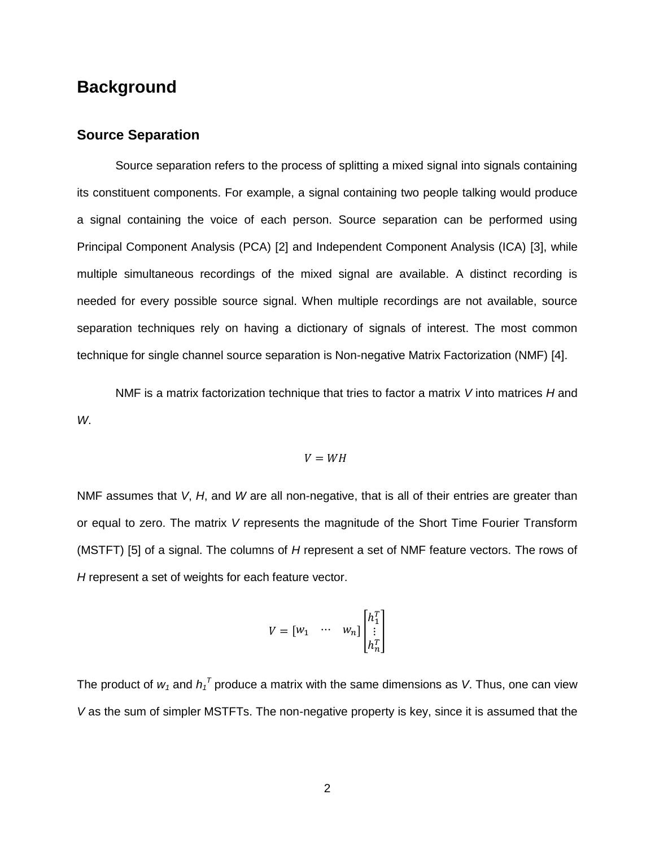## <span id="page-9-0"></span>**Background**

#### <span id="page-9-1"></span>**Source Separation**

Source separation refers to the process of splitting a mixed signal into signals containing its constituent components. For example, a signal containing two people talking would produce a signal containing the voice of each person. Source separation can be performed using Principal Component Analysis (PCA) [2] and Independent Component Analysis (ICA) [3], while multiple simultaneous recordings of the mixed signal are available. A distinct recording is needed for every possible source signal. When multiple recordings are not available, source separation techniques rely on having a dictionary of signals of interest. The most common technique for single channel source separation is Non-negative Matrix Factorization (NMF) [4].

NMF is a matrix factorization technique that tries to factor a matrix *V* into matrices *H* and *W*.

$$
V = WH
$$

NMF assumes that *V*, *H*, and *W* are all non-negative, that is all of their entries are greater than or equal to zero. The matrix *V* represents the magnitude of the Short Time Fourier Transform (MSTFT) [5] of a signal. The columns of *H* represent a set of NMF feature vectors. The rows of *H* represent a set of weights for each feature vector.

$$
V = \begin{bmatrix} w_1 & \cdots & w_n \end{bmatrix} \begin{bmatrix} h_1^T \\ \vdots \\ h_n^T \end{bmatrix}
$$

The product of  $w_1$  and  $h_1^T$  produce a matrix with the same dimensions as *V*. Thus, one can view *V* as the sum of simpler MSTFTs. The non-negative property is key, since it is assumed that the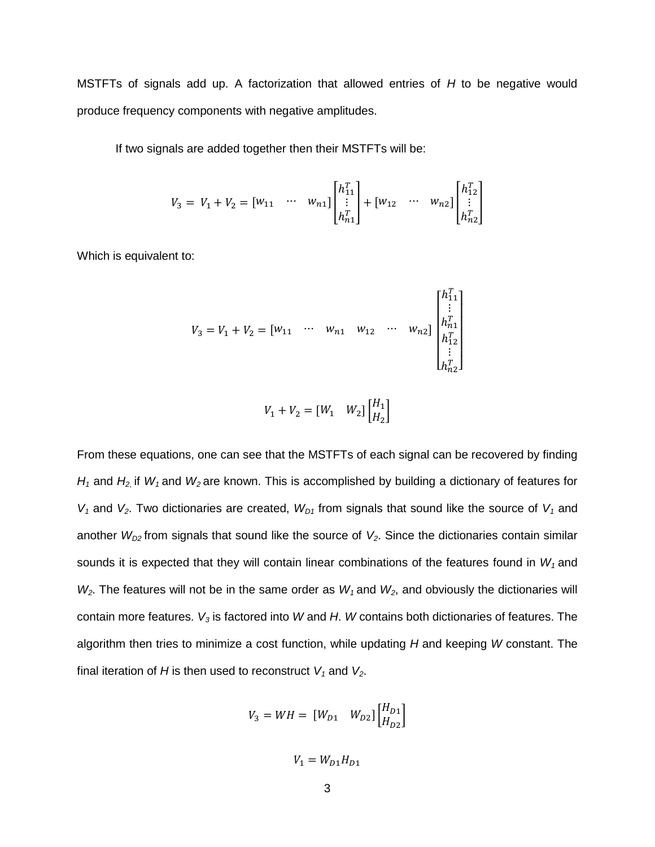MSTFTs of signals add up. A factorization that allowed entries of *H* to be negative would produce frequency components with negative amplitudes.

If two signals are added together then their MSTFTs will be:

$$
V_3 = V_1 + V_2 = \begin{bmatrix} w_{11} & \cdots & w_{n1} \end{bmatrix} \begin{bmatrix} h_{11}^T \\ \vdots \\ h_{n1}^T \end{bmatrix} + \begin{bmatrix} w_{12} & \cdots & w_{n2} \end{bmatrix} \begin{bmatrix} h_{12}^T \\ \vdots \\ h_{n2}^T \end{bmatrix}
$$

Which is equivalent to:

$$
V_3 = V_1 + V_2 = [w_{11} \cdots w_{n1} w_{12} \cdots w_{n2}] \begin{bmatrix} h_{11}^T \\ \vdots \\ h_{n1}^T \\ h_{12}^T \\ \vdots \\ h_{n2}^T \end{bmatrix}
$$

$$
V_1 + V_2 = [W_1 \quad W_2] \begin{bmatrix} H_1 \\ H_2 \end{bmatrix}
$$

From these equations, one can see that the MSTFTs of each signal can be recovered by finding *H<sup>1</sup>* and *H<sup>2</sup>*, if *W<sup>1</sup>* and *W<sup>2</sup>* are known. This is accomplished by building a dictionary of features for  $V_1$  and  $V_2$ . Two dictionaries are created,  $W_{D1}$  from signals that sound like the source of  $V_1$  and another  $W_{D2}$  from signals that sound like the source of  $V_2$ . Since the dictionaries contain similar sounds it is expected that they will contain linear combinations of the features found in *W<sup>1</sup>* and *W2*. The features will not be in the same order as *W<sup>1</sup>* and *W2*, and obviously the dictionaries will contain more features. *V<sup>3</sup>* is factored into *W* and *H*. *W* contains both dictionaries of features. The algorithm then tries to minimize a cost function, while updating *H* and keeping *W* constant. The final iteration of *H* is then used to reconstruct  $V_1$  and  $V_2$ .

$$
V_3 = W H = [W_{D1} \quad W_{D2}] \begin{bmatrix} H_{D1} \\ H_{D2} \end{bmatrix}
$$

 $V_1 = W_{D1}H_{D1}$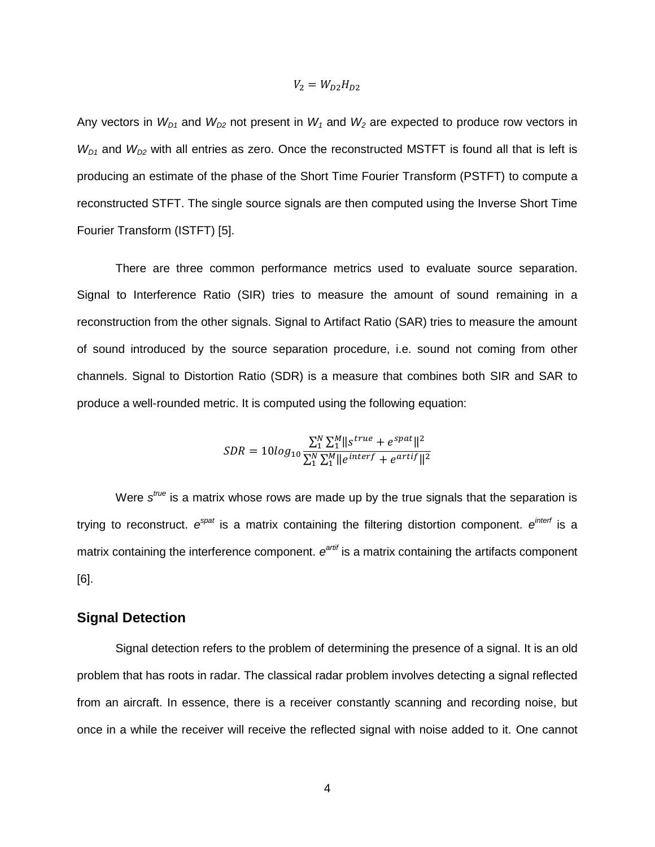Any vectors in 
$$
W_{D1}
$$
 and  $W_{D2}$  not present in  $W_1$  and  $W_2$  are expected to produce row vectors in  $W_{D1}$  and  $W_{D2}$  with all entries as zero. Once the reconstructed MSTFT is found all that is left is producing an estimate of the phase of the Short Time Fourier Transform (PSTFT) to compute a reconstructed STFT. The single source signals are then computed using the Inverse Short Time Fourier Transform (ISTFT) [5].

 $V_2 = W_{D2}H_{D2}$ 

There are three common performance metrics used to evaluate source separation. Signal to Interference Ratio (SIR) tries to measure the amount of sound remaining in a reconstruction from the other signals. Signal to Artifact Ratio (SAR) tries to measure the amount of sound introduced by the source separation procedure, i.e. sound not coming from other channels. Signal to Distortion Ratio (SDR) is a measure that combines both SIR and SAR to produce a well-rounded metric. It is computed using the following equation:

$$
SDR = 10log_{10} \frac{\sum_{1}^{N} \sum_{1}^{M} ||s^{true} + e^{spat}||^2}{\sum_{1}^{N} \sum_{1}^{M} ||e^{interf} + e^{artif}||^2}
$$

Were s<sup>true</sup> is a matrix whose rows are made up by the true signals that the separation is trying to reconstruct.  $e^{spat}$  is a matrix containing the filtering distortion component.  $e^{interf}$  is a matrix containing the interference component.  $e^{artif}$  is a matrix containing the artifacts component [6].

#### <span id="page-11-0"></span>**Signal Detection**

Signal detection refers to the problem of determining the presence of a signal. It is an old problem that has roots in radar. The classical radar problem involves detecting a signal reflected from an aircraft. In essence, there is a receiver constantly scanning and recording noise, but once in a while the receiver will receive the reflected signal with noise added to it. One cannot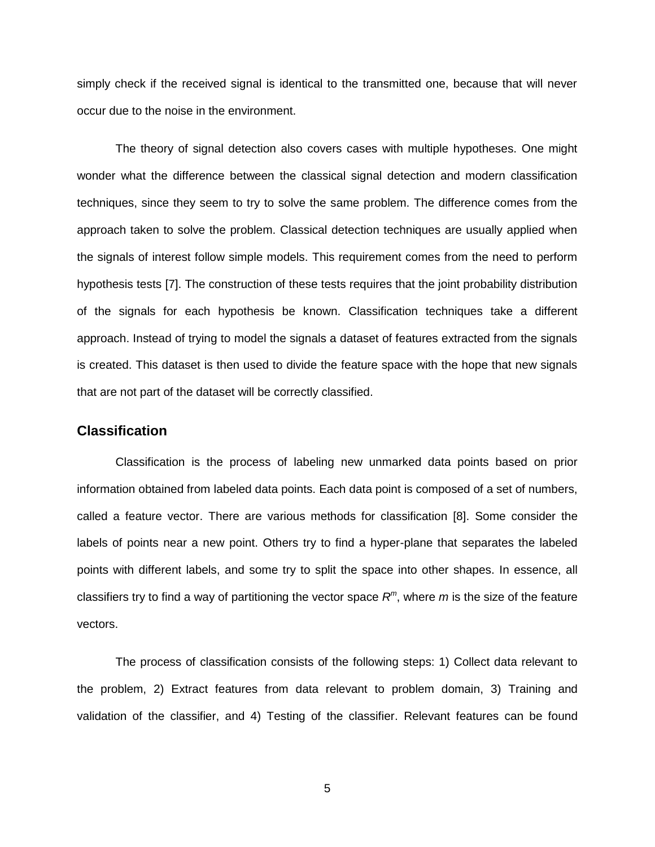simply check if the received signal is identical to the transmitted one, because that will never occur due to the noise in the environment.

The theory of signal detection also covers cases with multiple hypotheses. One might wonder what the difference between the classical signal detection and modern classification techniques, since they seem to try to solve the same problem. The difference comes from the approach taken to solve the problem. Classical detection techniques are usually applied when the signals of interest follow simple models. This requirement comes from the need to perform hypothesis tests [7]. The construction of these tests requires that the joint probability distribution of the signals for each hypothesis be known. Classification techniques take a different approach. Instead of trying to model the signals a dataset of features extracted from the signals is created. This dataset is then used to divide the feature space with the hope that new signals that are not part of the dataset will be correctly classified.

#### <span id="page-12-0"></span>**Classification**

Classification is the process of labeling new unmarked data points based on prior information obtained from labeled data points. Each data point is composed of a set of numbers, called a feature vector. There are various methods for classification [8]. Some consider the labels of points near a new point. Others try to find a hyper-plane that separates the labeled points with different labels, and some try to split the space into other shapes. In essence, all classifiers try to find a way of partitioning the vector space *R m* , where *m* is the size of the feature vectors.

The process of classification consists of the following steps: 1) Collect data relevant to the problem, 2) Extract features from data relevant to problem domain, 3) Training and validation of the classifier, and 4) Testing of the classifier. Relevant features can be found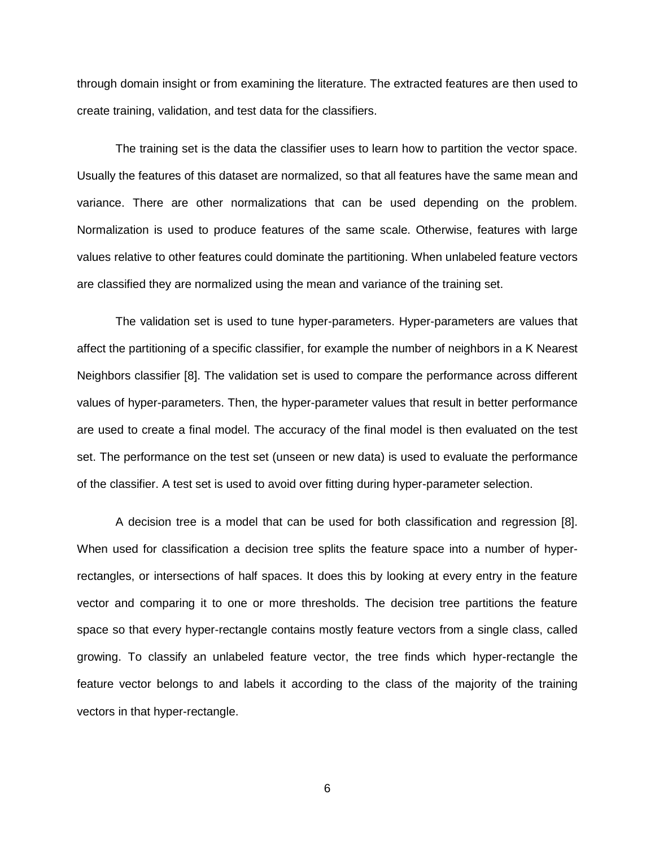through domain insight or from examining the literature. The extracted features are then used to create training, validation, and test data for the classifiers.

The training set is the data the classifier uses to learn how to partition the vector space. Usually the features of this dataset are normalized, so that all features have the same mean and variance. There are other normalizations that can be used depending on the problem. Normalization is used to produce features of the same scale. Otherwise, features with large values relative to other features could dominate the partitioning. When unlabeled feature vectors are classified they are normalized using the mean and variance of the training set.

The validation set is used to tune hyper-parameters. Hyper-parameters are values that affect the partitioning of a specific classifier, for example the number of neighbors in a K Nearest Neighbors classifier [8]. The validation set is used to compare the performance across different values of hyper-parameters. Then, the hyper-parameter values that result in better performance are used to create a final model. The accuracy of the final model is then evaluated on the test set. The performance on the test set (unseen or new data) is used to evaluate the performance of the classifier. A test set is used to avoid over fitting during hyper-parameter selection.

A decision tree is a model that can be used for both classification and regression [8]. When used for classification a decision tree splits the feature space into a number of hyperrectangles, or intersections of half spaces. It does this by looking at every entry in the feature vector and comparing it to one or more thresholds. The decision tree partitions the feature space so that every hyper-rectangle contains mostly feature vectors from a single class, called growing. To classify an unlabeled feature vector, the tree finds which hyper-rectangle the feature vector belongs to and labels it according to the class of the majority of the training vectors in that hyper-rectangle.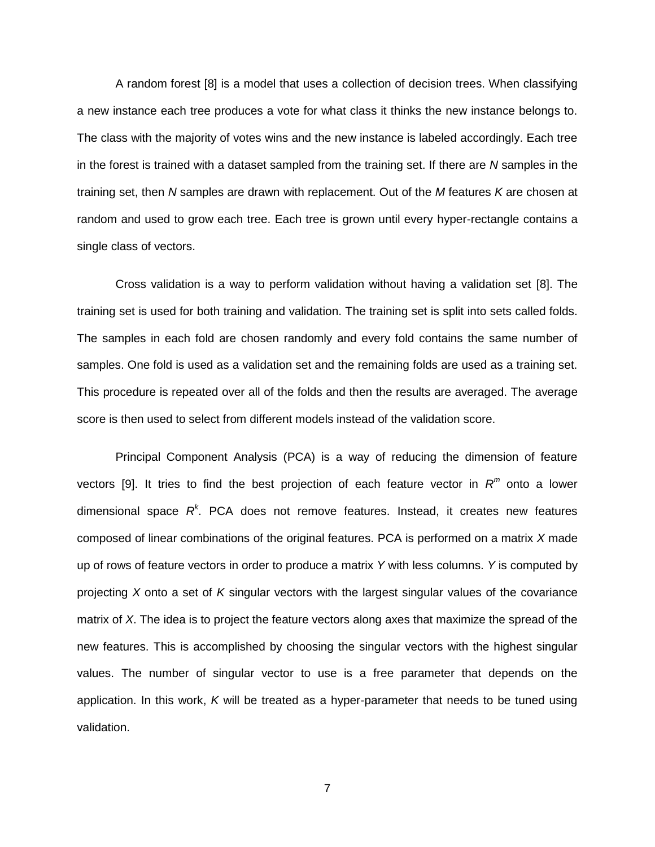A random forest [8] is a model that uses a collection of decision trees. When classifying a new instance each tree produces a vote for what class it thinks the new instance belongs to. The class with the majority of votes wins and the new instance is labeled accordingly. Each tree in the forest is trained with a dataset sampled from the training set. If there are *N* samples in the training set, then *N* samples are drawn with replacement. Out of the *M* features *K* are chosen at random and used to grow each tree. Each tree is grown until every hyper-rectangle contains a single class of vectors.

Cross validation is a way to perform validation without having a validation set [8]. The training set is used for both training and validation. The training set is split into sets called folds. The samples in each fold are chosen randomly and every fold contains the same number of samples. One fold is used as a validation set and the remaining folds are used as a training set. This procedure is repeated over all of the folds and then the results are averaged. The average score is then used to select from different models instead of the validation score.

Principal Component Analysis (PCA) is a way of reducing the dimension of feature vectors [9]. It tries to find the best projection of each feature vector in *R m* onto a lower dimensional space *R k* . PCA does not remove features. Instead, it creates new features composed of linear combinations of the original features. PCA is performed on a matrix *X* made up of rows of feature vectors in order to produce a matrix *Y* with less columns. *Y* is computed by projecting *X* onto a set of *K* singular vectors with the largest singular values of the covariance matrix of *X*. The idea is to project the feature vectors along axes that maximize the spread of the new features. This is accomplished by choosing the singular vectors with the highest singular values. The number of singular vector to use is a free parameter that depends on the application. In this work, *K* will be treated as a hyper-parameter that needs to be tuned using validation.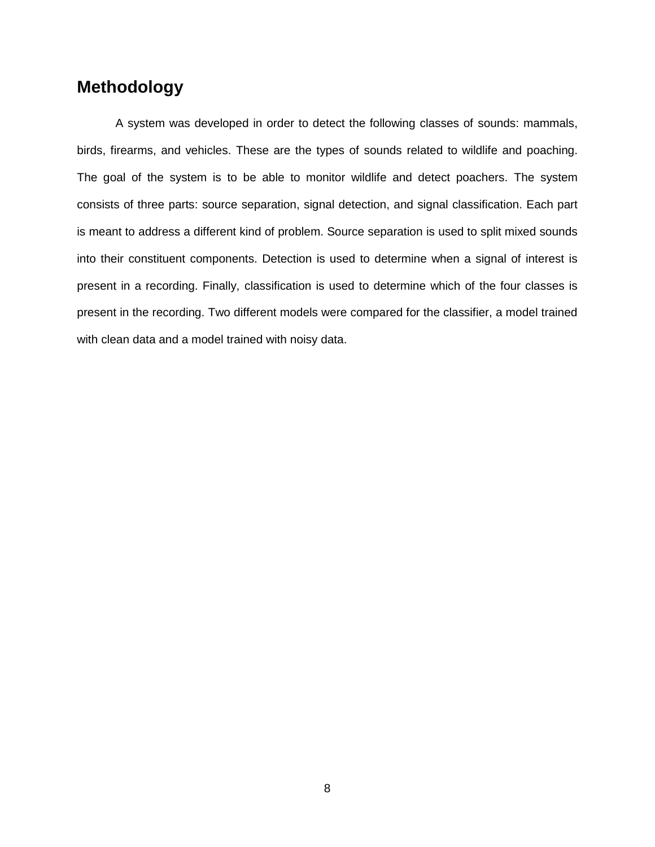## <span id="page-15-0"></span>**Methodology**

A system was developed in order to detect the following classes of sounds: mammals, birds, firearms, and vehicles. These are the types of sounds related to wildlife and poaching. The goal of the system is to be able to monitor wildlife and detect poachers. The system consists of three parts: source separation, signal detection, and signal classification. Each part is meant to address a different kind of problem. Source separation is used to split mixed sounds into their constituent components. Detection is used to determine when a signal of interest is present in a recording. Finally, classification is used to determine which of the four classes is present in the recording. Two different models were compared for the classifier, a model trained with clean data and a model trained with noisy data.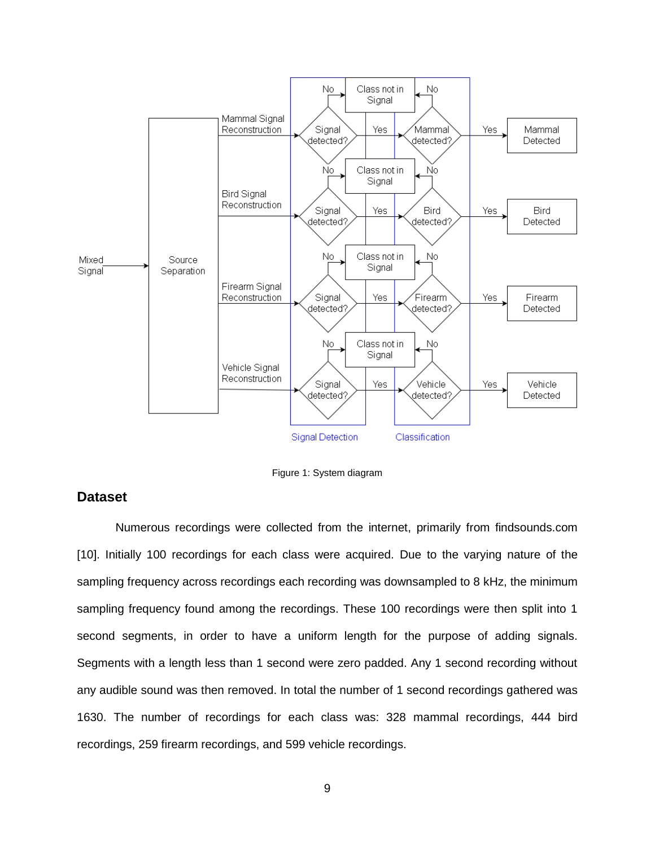

Figure 1: System diagram

#### <span id="page-16-0"></span>**Dataset**

Numerous recordings were collected from the internet, primarily from findsounds.com [10]. Initially 100 recordings for each class were acquired. Due to the varying nature of the sampling frequency across recordings each recording was downsampled to 8 kHz, the minimum sampling frequency found among the recordings. These 100 recordings were then split into 1 second segments, in order to have a uniform length for the purpose of adding signals. Segments with a length less than 1 second were zero padded. Any 1 second recording without any audible sound was then removed. In total the number of 1 second recordings gathered was 1630. The number of recordings for each class was: 328 mammal recordings, 444 bird recordings, 259 firearm recordings, and 599 vehicle recordings.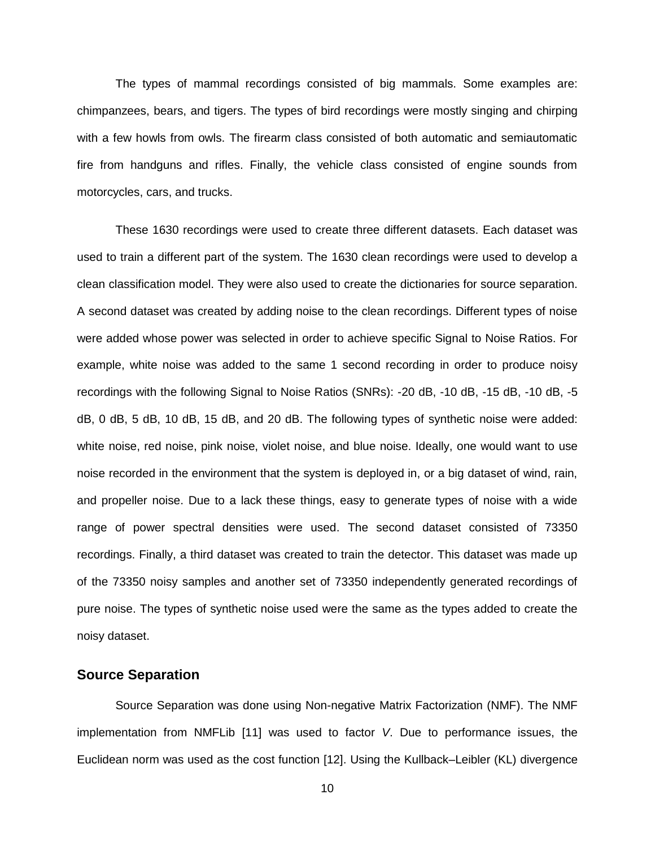The types of mammal recordings consisted of big mammals. Some examples are: chimpanzees, bears, and tigers. The types of bird recordings were mostly singing and chirping with a few howls from owls. The firearm class consisted of both automatic and semiautomatic fire from handguns and rifles. Finally, the vehicle class consisted of engine sounds from motorcycles, cars, and trucks.

These 1630 recordings were used to create three different datasets. Each dataset was used to train a different part of the system. The 1630 clean recordings were used to develop a clean classification model. They were also used to create the dictionaries for source separation. A second dataset was created by adding noise to the clean recordings. Different types of noise were added whose power was selected in order to achieve specific Signal to Noise Ratios. For example, white noise was added to the same 1 second recording in order to produce noisy recordings with the following Signal to Noise Ratios (SNRs): -20 dB, -10 dB, -15 dB, -10 dB, -5 dB, 0 dB, 5 dB, 10 dB, 15 dB, and 20 dB. The following types of synthetic noise were added: white noise, red noise, pink noise, violet noise, and blue noise. Ideally, one would want to use noise recorded in the environment that the system is deployed in, or a big dataset of wind, rain, and propeller noise. Due to a lack these things, easy to generate types of noise with a wide range of power spectral densities were used. The second dataset consisted of 73350 recordings. Finally, a third dataset was created to train the detector. This dataset was made up of the 73350 noisy samples and another set of 73350 independently generated recordings of pure noise. The types of synthetic noise used were the same as the types added to create the noisy dataset.

#### <span id="page-17-0"></span>**Source Separation**

Source Separation was done using Non-negative Matrix Factorization (NMF). The NMF implementation from NMFLib [11] was used to factor *V*. Due to performance issues, the Euclidean norm was used as the cost function [12]. Using the Kullback–Leibler (KL) divergence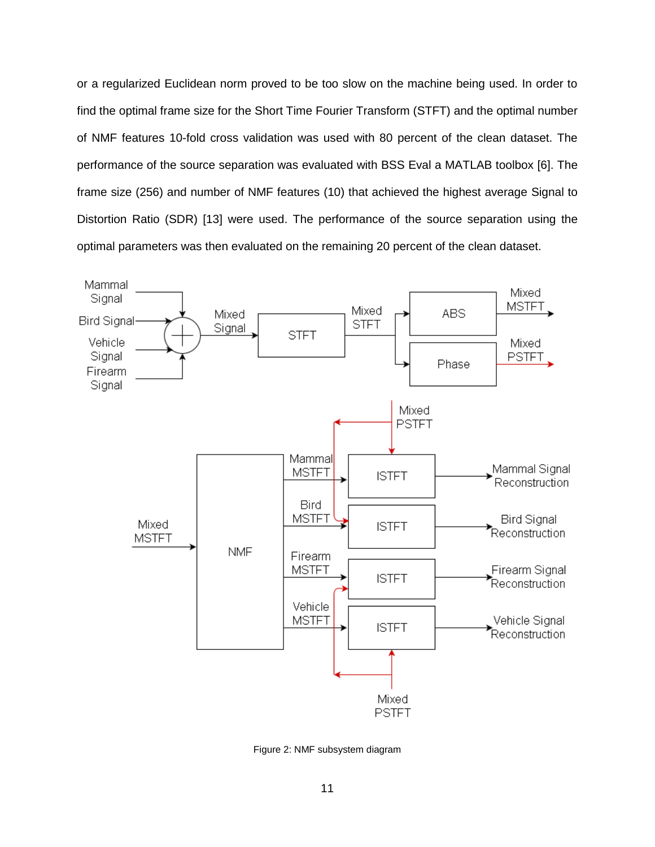or a regularized Euclidean norm proved to be too slow on the machine being used. In order to find the optimal frame size for the Short Time Fourier Transform (STFT) and the optimal number of NMF features 10-fold cross validation was used with 80 percent of the clean dataset. The performance of the source separation was evaluated with BSS Eval a MATLAB toolbox [6]. The frame size (256) and number of NMF features (10) that achieved the highest average Signal to Distortion Ratio (SDR) [13] were used. The performance of the source separation using the optimal parameters was then evaluated on the remaining 20 percent of the clean dataset.



Figure 2: NMF subsystem diagram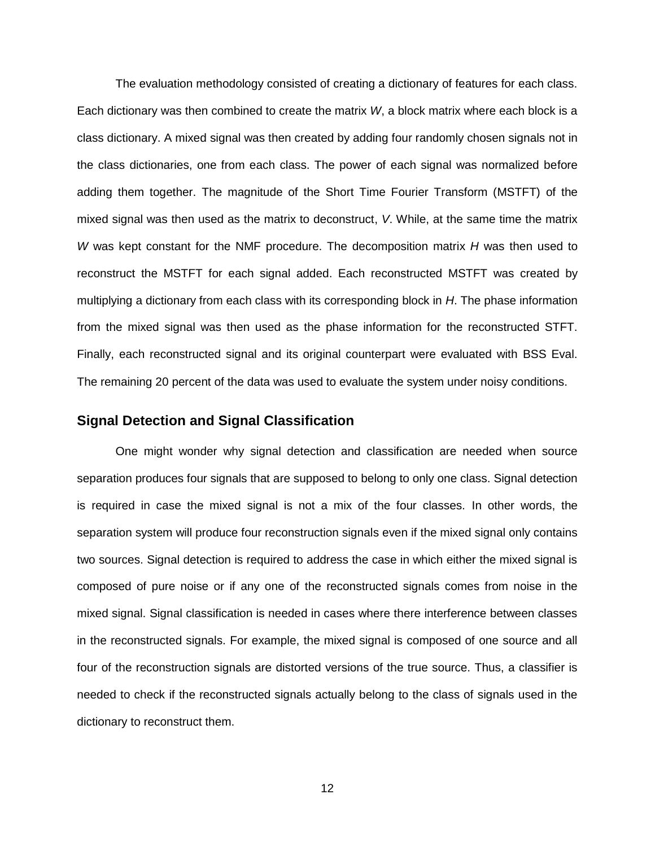The evaluation methodology consisted of creating a dictionary of features for each class. Each dictionary was then combined to create the matrix *W*, a block matrix where each block is a class dictionary. A mixed signal was then created by adding four randomly chosen signals not in the class dictionaries, one from each class. The power of each signal was normalized before adding them together. The magnitude of the Short Time Fourier Transform (MSTFT) of the mixed signal was then used as the matrix to deconstruct, *V*. While, at the same time the matrix *W* was kept constant for the NMF procedure. The decomposition matrix *H* was then used to reconstruct the MSTFT for each signal added. Each reconstructed MSTFT was created by multiplying a dictionary from each class with its corresponding block in *H*. The phase information from the mixed signal was then used as the phase information for the reconstructed STFT. Finally, each reconstructed signal and its original counterpart were evaluated with BSS Eval. The remaining 20 percent of the data was used to evaluate the system under noisy conditions.

#### <span id="page-19-0"></span>**Signal Detection and Signal Classification**

One might wonder why signal detection and classification are needed when source separation produces four signals that are supposed to belong to only one class. Signal detection is required in case the mixed signal is not a mix of the four classes. In other words, the separation system will produce four reconstruction signals even if the mixed signal only contains two sources. Signal detection is required to address the case in which either the mixed signal is composed of pure noise or if any one of the reconstructed signals comes from noise in the mixed signal. Signal classification is needed in cases where there interference between classes in the reconstructed signals. For example, the mixed signal is composed of one source and all four of the reconstruction signals are distorted versions of the true source. Thus, a classifier is needed to check if the reconstructed signals actually belong to the class of signals used in the dictionary to reconstruct them.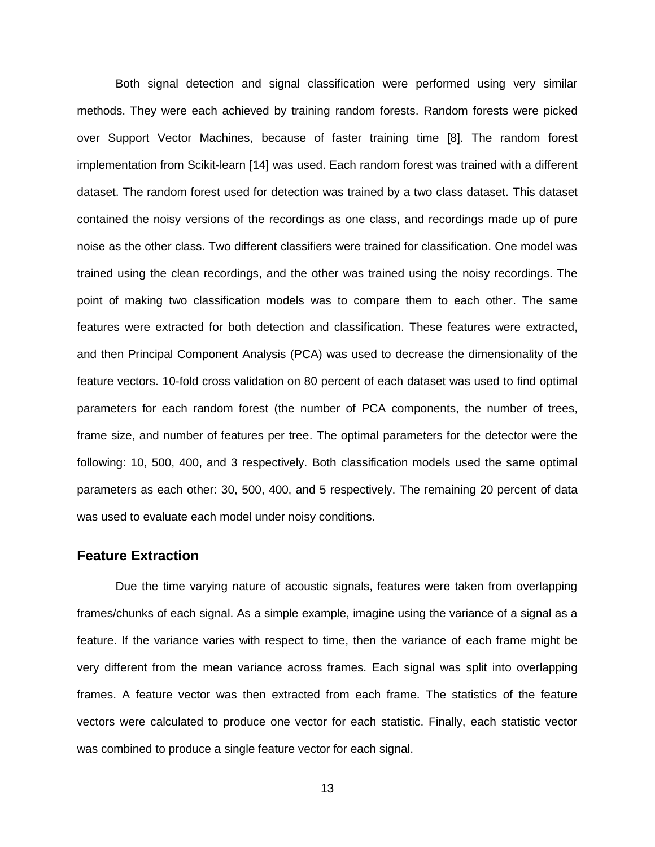Both signal detection and signal classification were performed using very similar methods. They were each achieved by training random forests. Random forests were picked over Support Vector Machines, because of faster training time [8]. The random forest implementation from Scikit-learn [14] was used. Each random forest was trained with a different dataset. The random forest used for detection was trained by a two class dataset. This dataset contained the noisy versions of the recordings as one class, and recordings made up of pure noise as the other class. Two different classifiers were trained for classification. One model was trained using the clean recordings, and the other was trained using the noisy recordings. The point of making two classification models was to compare them to each other. The same features were extracted for both detection and classification. These features were extracted, and then Principal Component Analysis (PCA) was used to decrease the dimensionality of the feature vectors. 10-fold cross validation on 80 percent of each dataset was used to find optimal parameters for each random forest (the number of PCA components, the number of trees, frame size, and number of features per tree. The optimal parameters for the detector were the following: 10, 500, 400, and 3 respectively. Both classification models used the same optimal parameters as each other: 30, 500, 400, and 5 respectively. The remaining 20 percent of data was used to evaluate each model under noisy conditions.

#### <span id="page-20-0"></span>**Feature Extraction**

Due the time varying nature of acoustic signals, features were taken from overlapping frames/chunks of each signal. As a simple example, imagine using the variance of a signal as a feature. If the variance varies with respect to time, then the variance of each frame might be very different from the mean variance across frames. Each signal was split into overlapping frames. A feature vector was then extracted from each frame. The statistics of the feature vectors were calculated to produce one vector for each statistic. Finally, each statistic vector was combined to produce a single feature vector for each signal.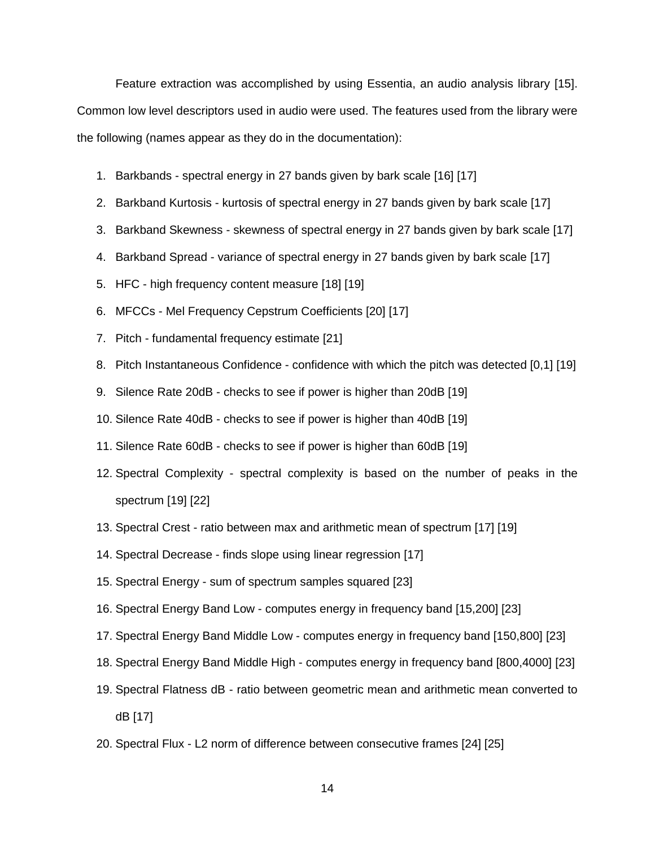Feature extraction was accomplished by using Essentia, an audio analysis library [15]. Common low level descriptors used in audio were used. The features used from the library were the following (names appear as they do in the documentation):

- 1. Barkbands spectral energy in 27 bands given by bark scale [16] [17]
- 2. Barkband Kurtosis kurtosis of spectral energy in 27 bands given by bark scale [17]
- 3. Barkband Skewness skewness of spectral energy in 27 bands given by bark scale [17]
- 4. Barkband Spread variance of spectral energy in 27 bands given by bark scale [17]
- 5. HFC high frequency content measure [18] [\[19\]](#page-39-0)
- 6. MFCCs Mel Frequency Cepstrum Coefficients [20] [17]
- 7. Pitch fundamental frequency estimate [21]
- 8. Pitch Instantaneous Confidence confidence with which the pitch was detected [0,1] [\[19\]](#page-39-0)
- 9. Silence Rate 20dB checks to see if power is higher than 20dB [\[19\]](#page-39-0)
- 10. Silence Rate 40dB checks to see if power is higher than 40dB [\[19\]](#page-39-0)
- 11. Silence Rate 60dB checks to see if power is higher than 60dB [\[19\]](#page-39-0)
- 12. Spectral Complexity spectral complexity is based on the number of peaks in the spectrum [\[19\]](#page-39-0) [22]
- 13. Spectral Crest ratio between max and arithmetic mean of spectrum [17] [\[19\]](#page-39-0)
- 14. Spectral Decrease finds slope using linear regression [17]
- 15. Spectral Energy sum of spectrum samples squared [\[23\]](#page-39-1)
- 16. Spectral Energy Band Low computes energy in frequency band [15,200] [\[23\]](#page-39-1)
- 17. Spectral Energy Band Middle Low computes energy in frequency band [150,800] [\[23\]](#page-39-1)
- 18. Spectral Energy Band Middle High computes energy in frequency band [800,4000] [\[23\]](#page-39-1)
- 19. Spectral Flatness dB ratio between geometric mean and arithmetic mean converted to dB [17]
- 20. Spectral Flux L2 norm of difference between consecutive frames [24] [25]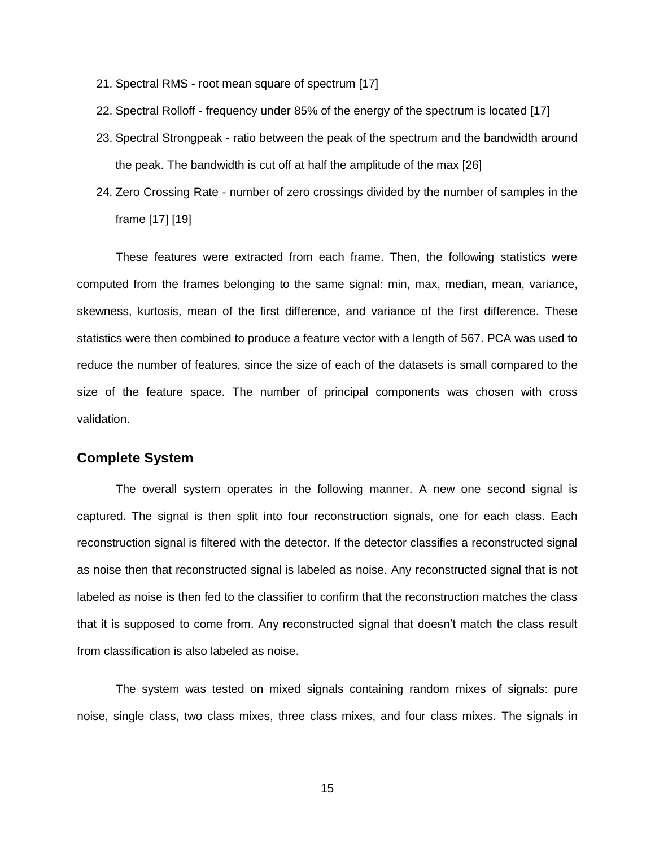- 21. Spectral RMS root mean square of spectrum [17]
- 22. Spectral Rolloff frequency under 85% of the energy of the spectrum is located [17]
- 23. Spectral Strongpeak ratio between the peak of the spectrum and the bandwidth around the peak. The bandwidth is cut off at half the amplitude of the max [26]
- 24. Zero Crossing Rate number of zero crossings divided by the number of samples in the frame [17] [\[19\]](#page-39-0)

These features were extracted from each frame. Then, the following statistics were computed from the frames belonging to the same signal: min, max, median, mean, variance, skewness, kurtosis, mean of the first difference, and variance of the first difference. These statistics were then combined to produce a feature vector with a length of 567. PCA was used to reduce the number of features, since the size of each of the datasets is small compared to the size of the feature space. The number of principal components was chosen with cross validation.

#### <span id="page-22-0"></span>**Complete System**

The overall system operates in the following manner. A new one second signal is captured. The signal is then split into four reconstruction signals, one for each class. Each reconstruction signal is filtered with the detector. If the detector classifies a reconstructed signal as noise then that reconstructed signal is labeled as noise. Any reconstructed signal that is not labeled as noise is then fed to the classifier to confirm that the reconstruction matches the class that it is supposed to come from. Any reconstructed signal that doesn't match the class result from classification is also labeled as noise.

The system was tested on mixed signals containing random mixes of signals: pure noise, single class, two class mixes, three class mixes, and four class mixes. The signals in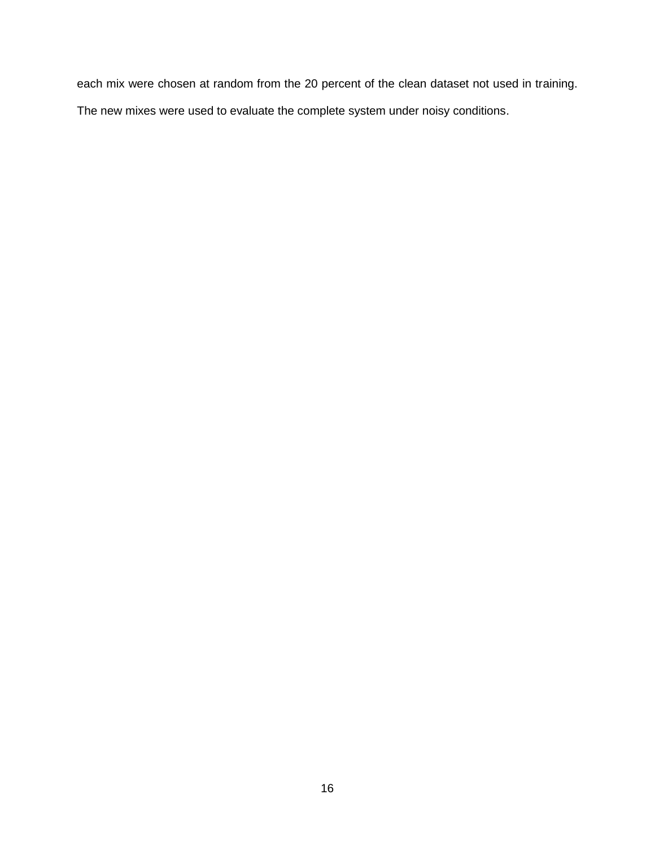each mix were chosen at random from the 20 percent of the clean dataset not used in training. The new mixes were used to evaluate the complete system under noisy conditions.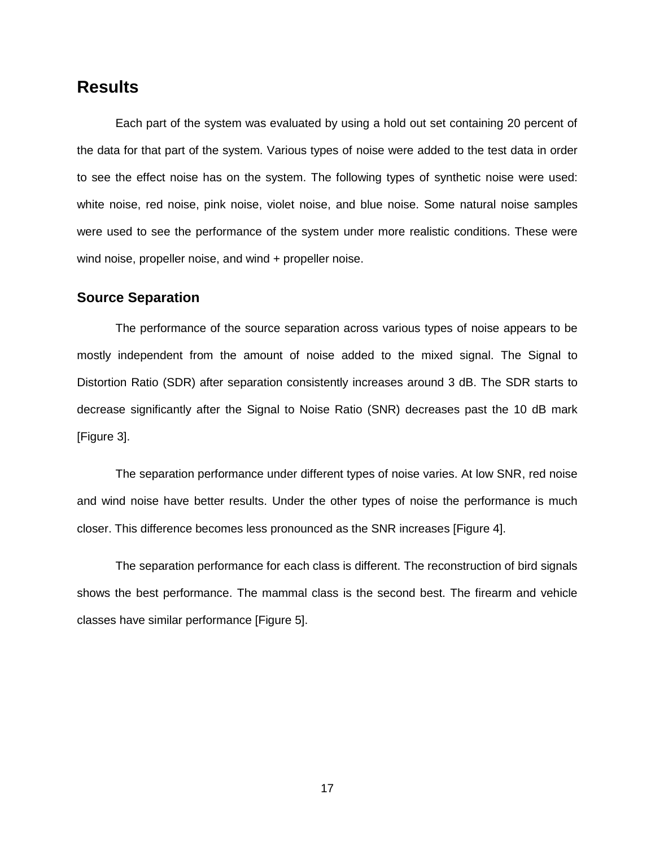## <span id="page-24-0"></span>**Results**

Each part of the system was evaluated by using a hold out set containing 20 percent of the data for that part of the system. Various types of noise were added to the test data in order to see the effect noise has on the system. The following types of synthetic noise were used: white noise, red noise, pink noise, violet noise, and blue noise. Some natural noise samples were used to see the performance of the system under more realistic conditions. These were wind noise, propeller noise, and wind + propeller noise.

#### <span id="page-24-1"></span>**Source Separation**

The performance of the source separation across various types of noise appears to be mostly independent from the amount of noise added to the mixed signal. The Signal to Distortion Ratio (SDR) after separation consistently increases around 3 dB. The SDR starts to decrease significantly after the Signal to Noise Ratio (SNR) decreases past the 10 dB mark [\[Figure 3\]](#page-25-0).

The separation performance under different types of noise varies. At low SNR, red noise and wind noise have better results. Under the other types of noise the performance is much closer. This difference becomes less pronounced as the SNR increases [\[Figure 4\]](#page-25-1).

The separation performance for each class is different. The reconstruction of bird signals shows the best performance. The mammal class is the second best. The firearm and vehicle classes have similar performance [\[Figure 5\]](#page-26-1).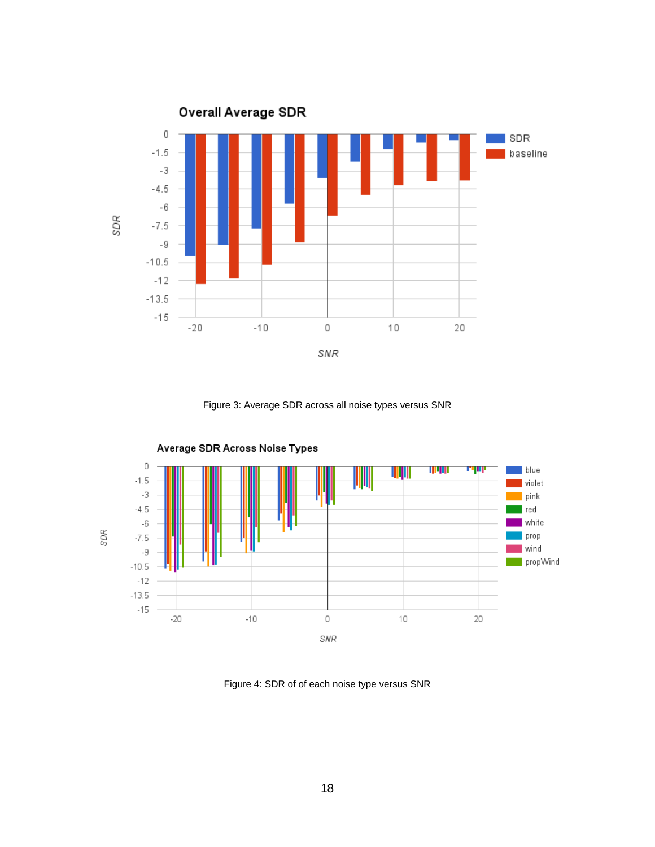

Figure 3: Average SDR across all noise types versus SNR

<span id="page-25-0"></span>

<span id="page-25-1"></span>Figure 4: SDR of of each noise type versus SNR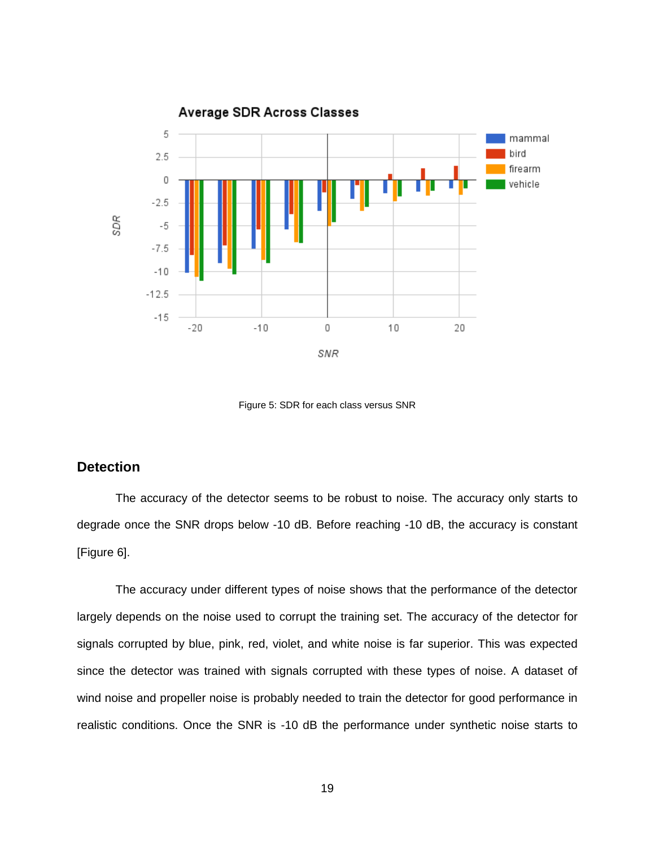

Figure 5: SDR for each class versus SNR

#### <span id="page-26-1"></span><span id="page-26-0"></span>**Detection**

The accuracy of the detector seems to be robust to noise. The accuracy only starts to degrade once the SNR drops below -10 dB. Before reaching -10 dB, the accuracy is constant [\[Figure 6\]](#page-27-0).

The accuracy under different types of noise shows that the performance of the detector largely depends on the noise used to corrupt the training set. The accuracy of the detector for signals corrupted by blue, pink, red, violet, and white noise is far superior. This was expected since the detector was trained with signals corrupted with these types of noise. A dataset of wind noise and propeller noise is probably needed to train the detector for good performance in realistic conditions. Once the SNR is -10 dB the performance under synthetic noise starts to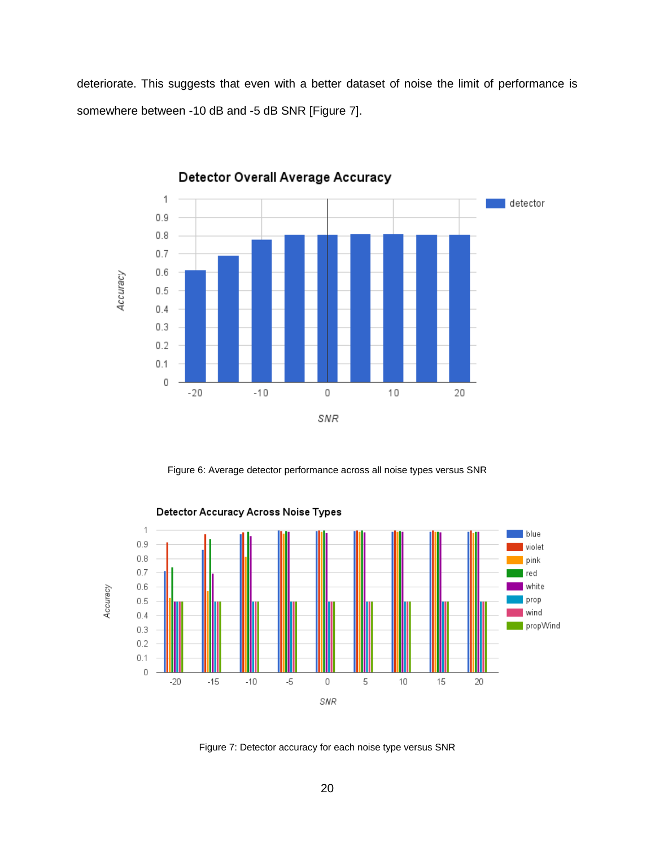deteriorate. This suggests that even with a better dataset of noise the limit of performance is somewhere between -10 dB and -5 dB SNR [\[Figure 7\]](#page-27-1).



Detector Overall Average Accuracy

Figure 6: Average detector performance across all noise types versus SNR

<span id="page-27-0"></span>

<span id="page-27-1"></span>Figure 7: Detector accuracy for each noise type versus SNR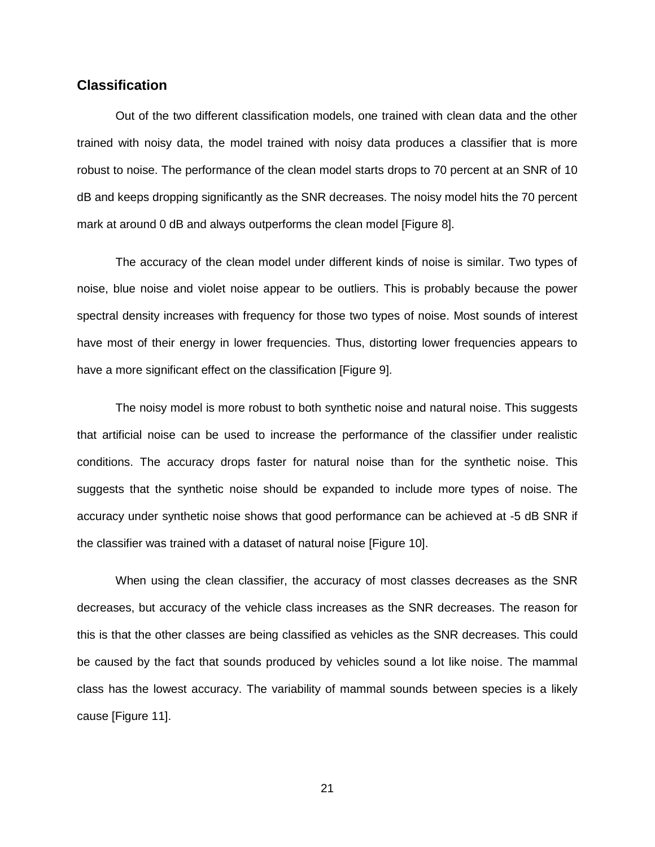#### <span id="page-28-0"></span>**Classification**

Out of the two different classification models, one trained with clean data and the other trained with noisy data, the model trained with noisy data produces a classifier that is more robust to noise. The performance of the clean model starts drops to 70 percent at an SNR of 10 dB and keeps dropping significantly as the SNR decreases. The noisy model hits the 70 percent mark at around 0 dB and always outperforms the clean model [\[Figure 8\]](#page-29-0).

The accuracy of the clean model under different kinds of noise is similar. Two types of noise, blue noise and violet noise appear to be outliers. This is probably because the power spectral density increases with frequency for those two types of noise. Most sounds of interest have most of their energy in lower frequencies. Thus, distorting lower frequencies appears to have a more significant effect on the classification [\[Figure 9\]](#page-29-1).

The noisy model is more robust to both synthetic noise and natural noise. This suggests that artificial noise can be used to increase the performance of the classifier under realistic conditions. The accuracy drops faster for natural noise than for the synthetic noise. This suggests that the synthetic noise should be expanded to include more types of noise. The accuracy under synthetic noise shows that good performance can be achieved at -5 dB SNR if the classifier was trained with a dataset of natural noise [\[Figure 10\]](#page-30-0).

When using the clean classifier, the accuracy of most classes decreases as the SNR decreases, but accuracy of the vehicle class increases as the SNR decreases. The reason for this is that the other classes are being classified as vehicles as the SNR decreases. This could be caused by the fact that sounds produced by vehicles sound a lot like noise. The mammal class has the lowest accuracy. The variability of mammal sounds between species is a likely cause [\[Figure 11\]](#page-30-1).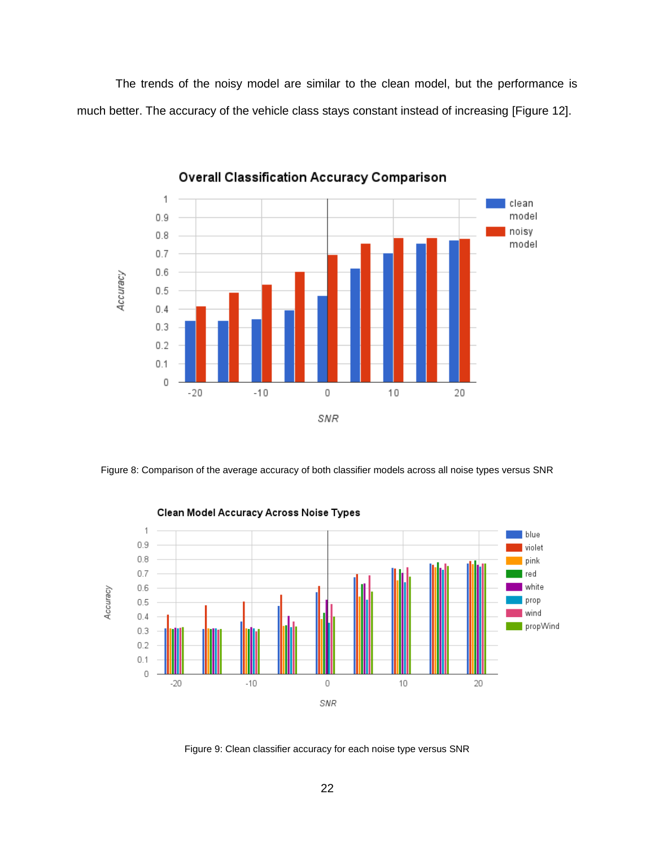The trends of the noisy model are similar to the clean model, but the performance is much better. The accuracy of the vehicle class stays constant instead of increasing [\[Figure](#page-31-1) 12].



**Overall Classification Accuracy Comparison** 

<span id="page-29-0"></span>Figure 8: Comparison of the average accuracy of both classifier models across all noise types versus SNR



<span id="page-29-1"></span>Figure 9: Clean classifier accuracy for each noise type versus SNR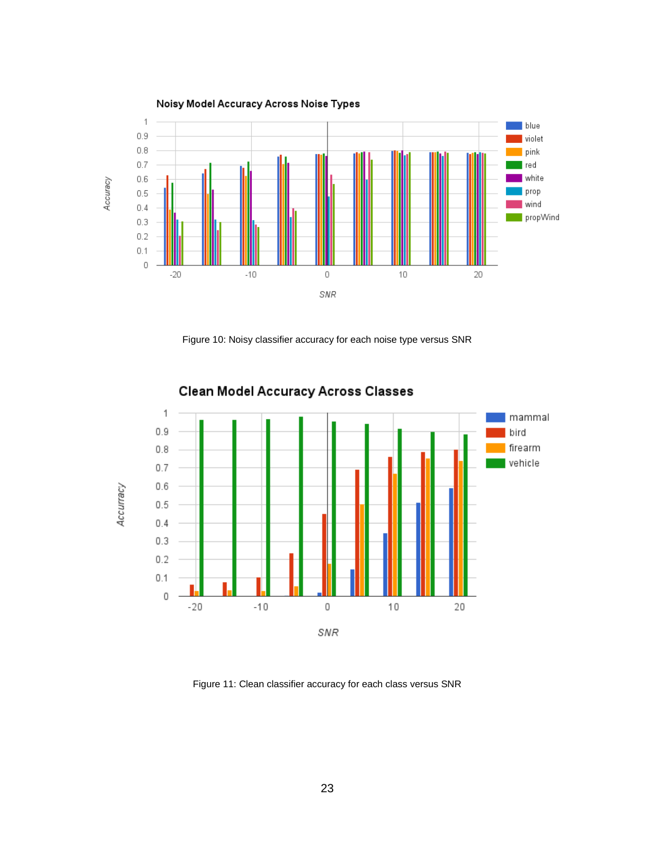

Figure 10: Noisy classifier accuracy for each noise type versus SNR

<span id="page-30-0"></span>

**Clean Model Accuracy Across Classes** 

<span id="page-30-1"></span>Figure 11: Clean classifier accuracy for each class versus SNR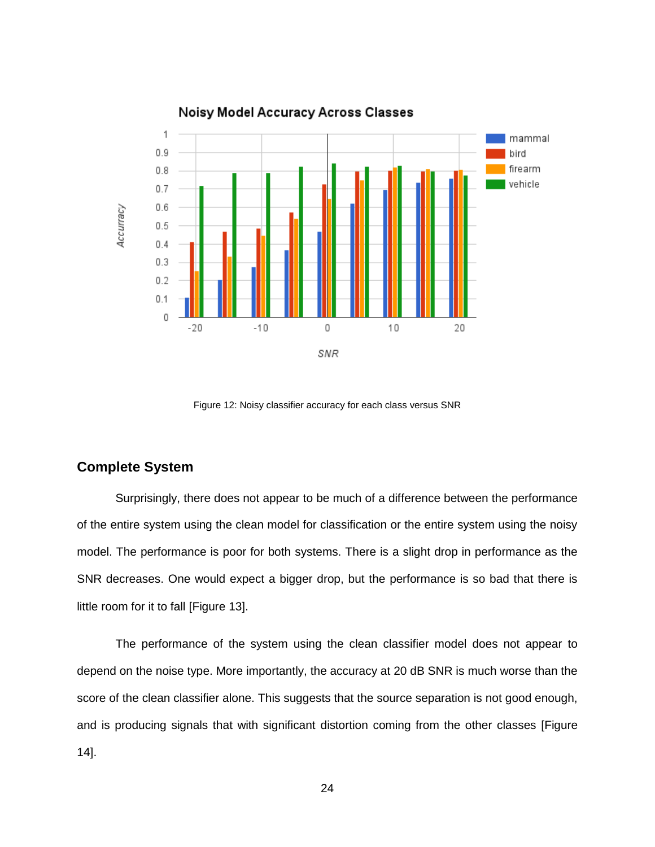

Figure 12: Noisy classifier accuracy for each class versus SNR

#### <span id="page-31-1"></span><span id="page-31-0"></span>**Complete System**

Surprisingly, there does not appear to be much of a difference between the performance of the entire system using the clean model for classification or the entire system using the noisy model. The performance is poor for both systems. There is a slight drop in performance as the SNR decreases. One would expect a bigger drop, but the performance is so bad that there is little room for it to fall [\[Figure 13\]](#page-32-0).

The performance of the system using the clean classifier model does not appear to depend on the noise type. More importantly, the accuracy at 20 dB SNR is much worse than the score of the clean classifier alone. This suggests that the source separation is not good enough, and is producing signals that with significant distortion coming from the other classes [\[Figure](#page-33-0) [14\]](#page-33-0).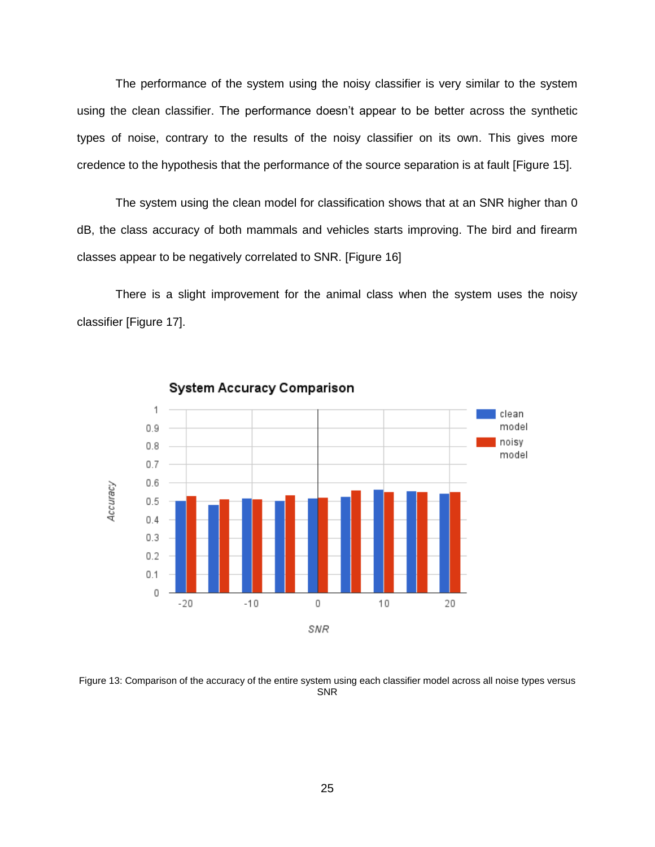The performance of the system using the noisy classifier is very similar to the system using the clean classifier. The performance doesn't appear to be better across the synthetic types of noise, contrary to the results of the noisy classifier on its own. This gives more credence to the hypothesis that the performance of the source separation is at fault [\[Figure](#page-33-1) 15].

The system using the clean model for classification shows that at an SNR higher than 0 dB, the class accuracy of both mammals and vehicles starts improving. The bird and firearm classes appear to be negatively correlated to SNR. [\[Figure 16\]](#page-34-0)

There is a slight improvement for the animal class when the system uses the noisy classifier [\[Figure](#page-34-1) 17].



**System Accuracy Comparison** 

<span id="page-32-0"></span>Figure 13: Comparison of the accuracy of the entire system using each classifier model across all noise types versus SNR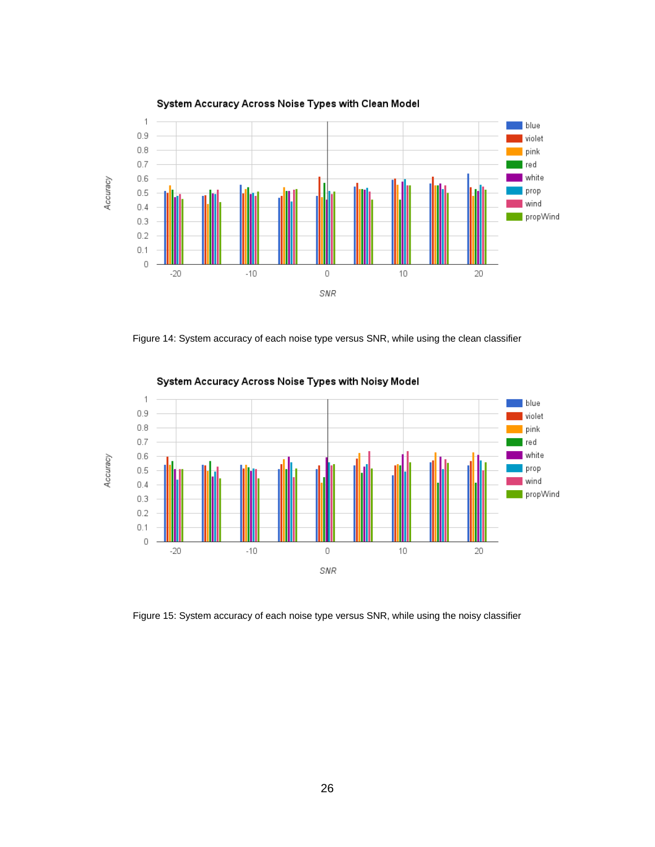

System Accuracy Across Noise Types with Clean Model

<span id="page-33-0"></span>Figure 14: System accuracy of each noise type versus SNR, while using the clean classifier



System Accuracy Across Noise Types with Noisy Model

<span id="page-33-1"></span>Figure 15: System accuracy of each noise type versus SNR, while using the noisy classifier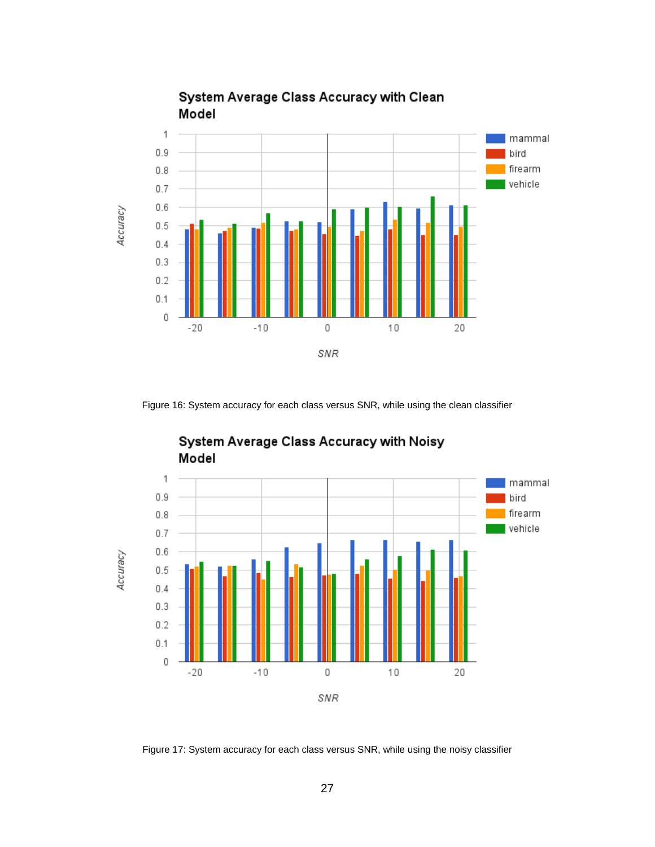

System Average Class Accuracy with Clean

<span id="page-34-0"></span>Figure 16: System accuracy for each class versus SNR, while using the clean classifier



### System Average Class Accuracy with Noisy Model

<span id="page-34-1"></span>Figure 17: System accuracy for each class versus SNR, while using the noisy classifier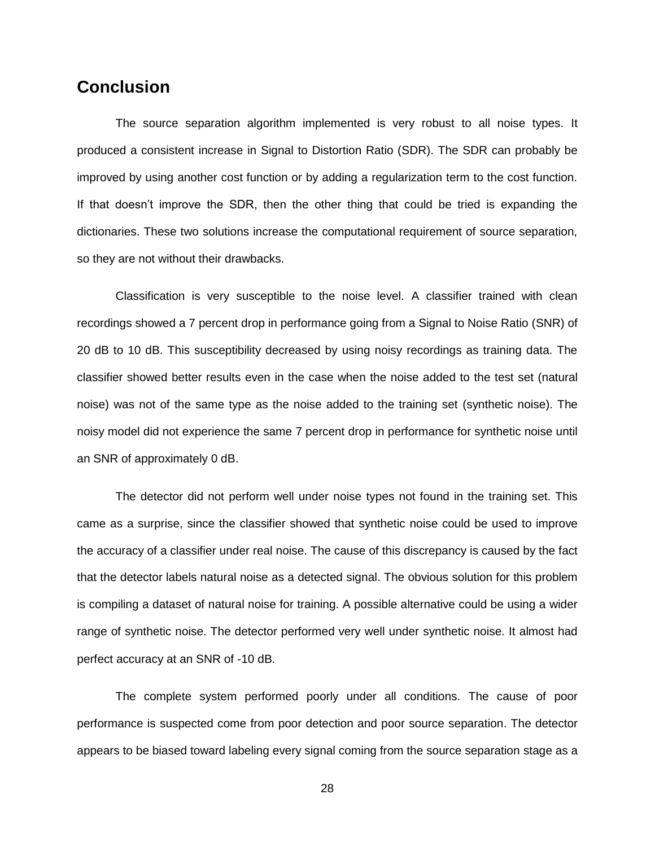## <span id="page-35-0"></span>**Conclusion**

The source separation algorithm implemented is very robust to all noise types. It produced a consistent increase in Signal to Distortion Ratio (SDR). The SDR can probably be improved by using another cost function or by adding a regularization term to the cost function. If that doesn't improve the SDR, then the other thing that could be tried is expanding the dictionaries. These two solutions increase the computational requirement of source separation, so they are not without their drawbacks.

Classification is very susceptible to the noise level. A classifier trained with clean recordings showed a 7 percent drop in performance going from a Signal to Noise Ratio (SNR) of 20 dB to 10 dB. This susceptibility decreased by using noisy recordings as training data. The classifier showed better results even in the case when the noise added to the test set (natural noise) was not of the same type as the noise added to the training set (synthetic noise). The noisy model did not experience the same 7 percent drop in performance for synthetic noise until an SNR of approximately 0 dB.

The detector did not perform well under noise types not found in the training set. This came as a surprise, since the classifier showed that synthetic noise could be used to improve the accuracy of a classifier under real noise. The cause of this discrepancy is caused by the fact that the detector labels natural noise as a detected signal. The obvious solution for this problem is compiling a dataset of natural noise for training. A possible alternative could be using a wider range of synthetic noise. The detector performed very well under synthetic noise. It almost had perfect accuracy at an SNR of -10 dB.

The complete system performed poorly under all conditions. The cause of poor performance is suspected come from poor detection and poor source separation. The detector appears to be biased toward labeling every signal coming from the source separation stage as a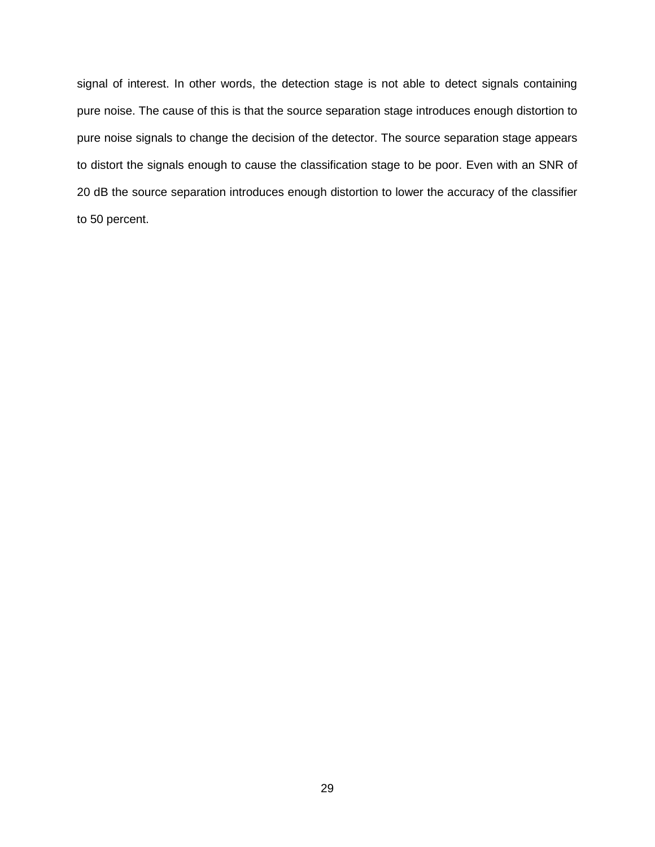signal of interest. In other words, the detection stage is not able to detect signals containing pure noise. The cause of this is that the source separation stage introduces enough distortion to pure noise signals to change the decision of the detector. The source separation stage appears to distort the signals enough to cause the classification stage to be poor. Even with an SNR of 20 dB the source separation introduces enough distortion to lower the accuracy of the classifier to 50 percent.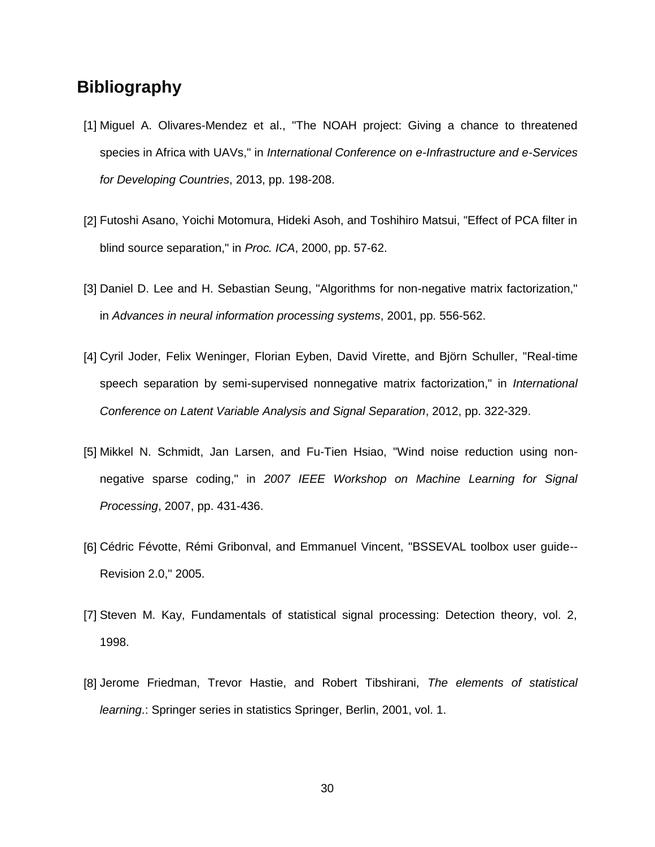## <span id="page-37-0"></span>**Bibliography**

- <span id="page-37-1"></span>[1] Miguel A. Olivares-Mendez et al., "The NOAH project: Giving a chance to threatened species in Africa with UAVs," in *International Conference on e-Infrastructure and e-Services for Developing Countries*, 2013, pp. 198-208.
- [2] Futoshi Asano, Yoichi Motomura, Hideki Asoh, and Toshihiro Matsui, "Effect of PCA filter in blind source separation," in *Proc. ICA*, 2000, pp. 57-62.
- [3] Daniel D. Lee and H. Sebastian Seung, "Algorithms for non-negative matrix factorization," in *Advances in neural information processing systems*, 2001, pp. 556-562.
- [4] Cyril Joder, Felix Weninger, Florian Eyben, David Virette, and Björn Schuller, "Real-time speech separation by semi-supervised nonnegative matrix factorization," in *International Conference on Latent Variable Analysis and Signal Separation*, 2012, pp. 322-329.
- [5] Mikkel N. Schmidt, Jan Larsen, and Fu-Tien Hsiao, "Wind noise reduction using nonnegative sparse coding," in *2007 IEEE Workshop on Machine Learning for Signal Processing*, 2007, pp. 431-436.
- [6] Cédric Févotte, Rémi Gribonval, and Emmanuel Vincent, "BSSEVAL toolbox user guide-- Revision 2.0," 2005.
- [7] Steven M. Kay, Fundamentals of statistical signal processing: Detection theory, vol. 2, 1998.
- [8] Jerome Friedman, Trevor Hastie, and Robert Tibshirani, *The elements of statistical learning*.: Springer series in statistics Springer, Berlin, 2001, vol. 1.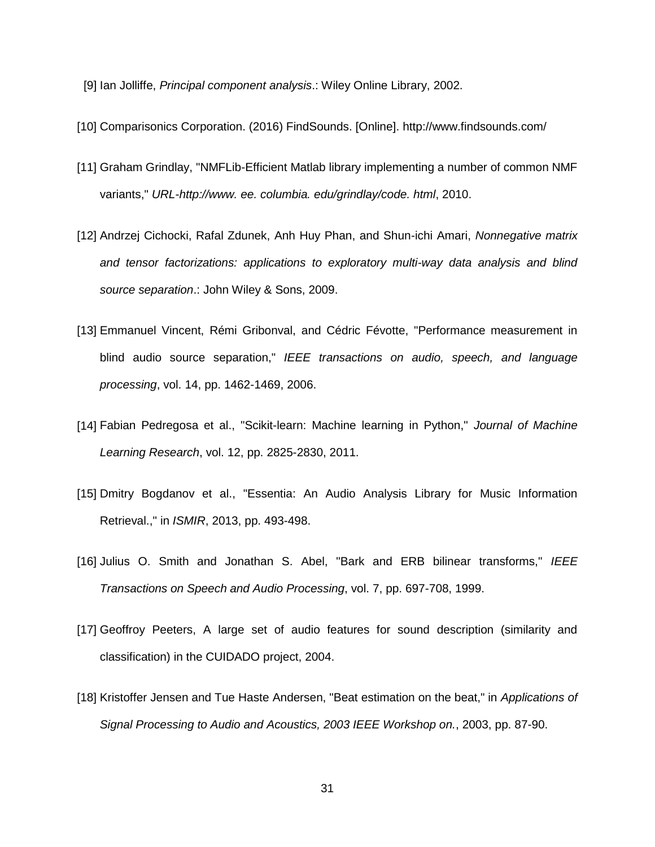- [9] Ian Jolliffe, *Principal component analysis*.: Wiley Online Library, 2002.
- [10] Comparisonics Corporation. (2016) FindSounds. [Online].<http://www.findsounds.com/>
- [11] Graham Grindlay, "NMFLib-Efficient Matlab library implementing a number of common NMF variants," *URL-http://www. ee. columbia. edu/grindlay/code. html*, 2010.
- [12] Andrzej Cichocki, Rafal Zdunek, Anh Huy Phan, and Shun-ichi Amari, *Nonnegative matrix and tensor factorizations: applications to exploratory multi-way data analysis and blind source separation*.: John Wiley & Sons, 2009.
- [13] Emmanuel Vincent, Rémi Gribonval, and Cédric Févotte, "Performance measurement in blind audio source separation," *IEEE transactions on audio, speech, and language processing*, vol. 14, pp. 1462-1469, 2006.
- [14] Fabian Pedregosa et al., "Scikit-learn: Machine learning in Python," *Journal of Machine Learning Research*, vol. 12, pp. 2825-2830, 2011.
- [15] Dmitry Bogdanov et al., "Essentia: An Audio Analysis Library for Music Information Retrieval.," in *ISMIR*, 2013, pp. 493-498.
- [16] Julius O. Smith and Jonathan S. Abel, "Bark and ERB bilinear transforms," *IEEE Transactions on Speech and Audio Processing*, vol. 7, pp. 697-708, 1999.
- [17] Geoffroy Peeters, A large set of audio features for sound description (similarity and classification) in the CUIDADO project, 2004.
- [18] Kristoffer Jensen and Tue Haste Andersen, "Beat estimation on the beat," in *Applications of Signal Processing to Audio and Acoustics, 2003 IEEE Workshop on.*, 2003, pp. 87-90.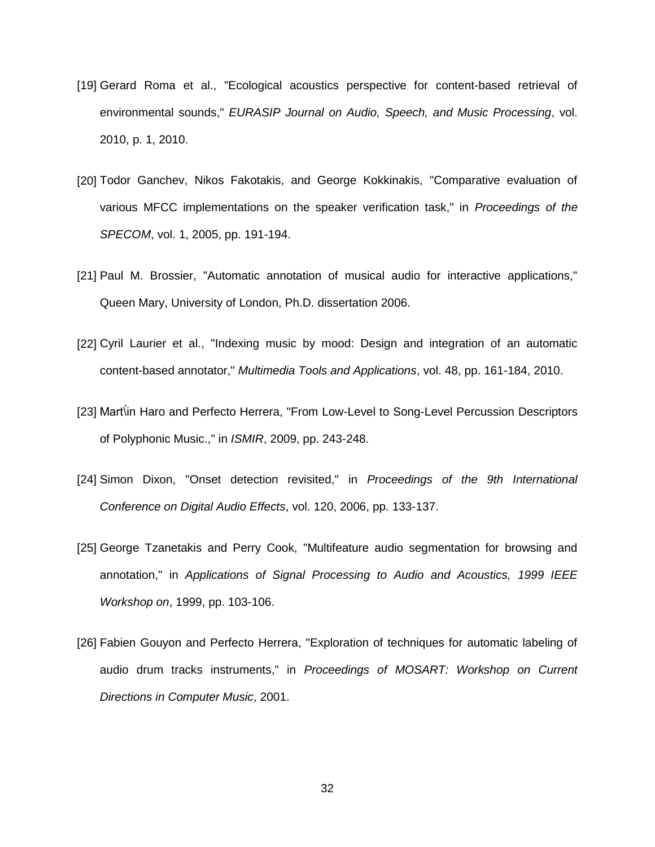- <span id="page-39-0"></span>[19] Gerard Roma et al., "Ecological acoustics perspective for content-based retrieval of environmental sounds," *EURASIP Journal on Audio, Speech, and Music Processing*, vol. 2010, p. 1, 2010.
- [20] Todor Ganchev, Nikos Fakotakis, and George Kokkinakis, "Comparative evaluation of various MFCC implementations on the speaker verification task," in *Proceedings of the SPECOM*, vol. 1, 2005, pp. 191-194.
- [21] Paul M. Brossier, "Automatic annotation of musical audio for interactive applications," Queen Mary, University of London, Ph.D. dissertation 2006.
- [22] Cyril Laurier et al., "Indexing music by mood: Design and integration of an automatic content-based annotator," *Multimedia Tools and Applications*, vol. 48, pp. 161-184, 2010.
- <span id="page-39-1"></span>[23] Mart in Haro and Perfecto Herrera, "From Low-Level to Song-Level Percussion Descriptors of Polyphonic Music.," in *ISMIR*, 2009, pp. 243-248.
- [24] Simon Dixon, "Onset detection revisited," in *Proceedings of the 9th International Conference on Digital Audio Effects*, vol. 120, 2006, pp. 133-137.
- [25] George Tzanetakis and Perry Cook, "Multifeature audio segmentation for browsing and annotation," in *Applications of Signal Processing to Audio and Acoustics, 1999 IEEE Workshop on*, 1999, pp. 103-106.
- [26] Fabien Gouyon and Perfecto Herrera, "Exploration of techniques for automatic labeling of audio drum tracks instruments," in *Proceedings of MOSART: Workshop on Current Directions in Computer Music*, 2001.